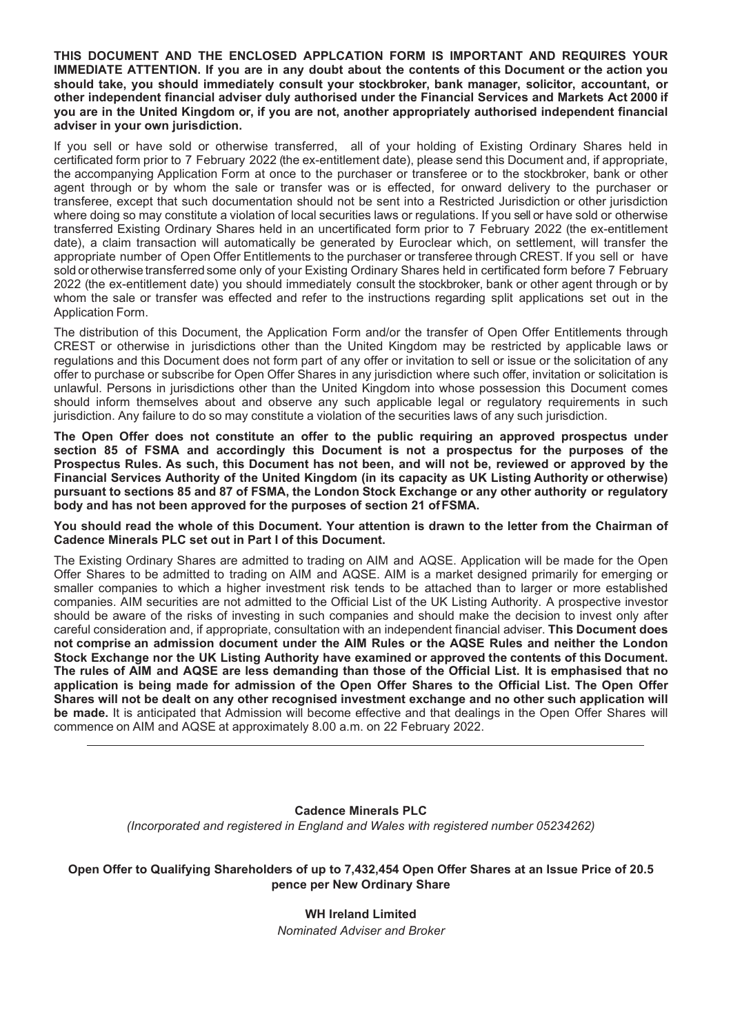**THIS DOCUMENT AND THE ENCLOSED APPLCATION FORM IS IMPORTANT AND REQUIRES YOUR IMMEDIATE ATTENTION. If you are in any doubt about the contents of this Document or the action you should take, you should immediately consult your stockbroker, bank manager, solicitor, accountant, or other independent financial adviser duly authorised under the Financial Services and Markets Act 2000 if you are in the United Kingdom or, if you are not, another appropriately authorised independent financial adviser in your own jurisdiction.** 

If you sell or have sold or otherwise transferred, all of your holding of Existing Ordinary Shares held in certificated form prior to 7 February 2022 (the ex-entitlement date), please send this Document and, if appropriate, the accompanying Application Form at once to the purchaser or transferee or to the stockbroker, bank or other agent through or by whom the sale or transfer was or is effected, for onward delivery to the purchaser or transferee, except that such documentation should not be sent into a Restricted Jurisdiction or other jurisdiction where doing so may constitute a violation of local securities laws or regulations. If you sell or have sold or otherwise transferred Existing Ordinary Shares held in an uncertificated form prior to 7 February 2022 (the ex-entitlement date), a claim transaction will automatically be generated by Euroclear which, on settlement, will transfer the appropriate number of Open Offer Entitlements to the purchaser or transferee through CREST. If you sell or have sold or otherwise transferred some only of your Existing Ordinary Shares held in certificated form before 7 February 2022 (the ex-entitlement date) you should immediately consult the stockbroker, bank or other agent through or by whom the sale or transfer was effected and refer to the instructions regarding split applications set out in the Application Form.

The distribution of this Document, the Application Form and/or the transfer of Open Offer Entitlements through CREST or otherwise in jurisdictions other than the United Kingdom may be restricted by applicable laws or regulations and this Document does not form part of any offer or invitation to sell or issue or the solicitation of any offer to purchase or subscribe for Open Offer Shares in any jurisdiction where such offer, invitation or solicitation is unlawful. Persons in jurisdictions other than the United Kingdom into whose possession this Document comes should inform themselves about and observe any such applicable legal or regulatory requirements in such jurisdiction. Any failure to do so may constitute a violation of the securities laws of any such jurisdiction.

**The Open Offer does not constitute an offer to the public requiring an approved prospectus under section 85 of FSMA and accordingly this Document is not a prospectus for the purposes of the Prospectus Rules. As such, this Document has not been, and will not be, reviewed or approved by the Financial Services Authority of the United Kingdom (in its capacity as UK Listing Authority or otherwise) pursuant to sections 85 and 87 of FSMA, the London Stock Exchange or any other authority or regulatory body and has not been approved for the purposes of section 21 of FSMA.** 

**You should read the whole of this Document. Your attention is drawn to the letter from the Chairman of Cadence Minerals PLC set out in Part I of this Document.** 

The Existing Ordinary Shares are admitted to trading on AIM and AQSE. Application will be made for the Open Offer Shares to be admitted to trading on AIM and AQSE. AIM is a market designed primarily for emerging or smaller companies to which a higher investment risk tends to be attached than to larger or more established companies. AIM securities are not admitted to the Official List of the UK Listing Authority. A prospective investor should be aware of the risks of investing in such companies and should make the decision to invest only after careful consideration and, if appropriate, consultation with an independent financial adviser. **This Document does not comprise an admission document under the AIM Rules or the AQSE Rules and neither the London Stock Exchange nor the UK Listing Authority have examined or approved the contents of this Document. The rules of AIM and AQSE are less demanding than those of the Official List. It is emphasised that no application is being made for admission of the Open Offer Shares to the Official List. The Open Offer Shares will not be dealt on any other recognised investment exchange and no other such application will be made.** It is anticipated that Admission will become effective and that dealings in the Open Offer Shares will commence on AIM and AQSE at approximately 8.00 a.m. on 22 February 2022.

### **Cadence Minerals PLC**  *(Incorporated and registered in England and Wales with registered number 05234262)*

**Open Offer to Qualifying Shareholders of up to 7,432,454 Open Offer Shares at an Issue Price of 20.5 pence per New Ordinary Share** 

> **WH Ireland Limited**  *Nominated Adviser and Broker*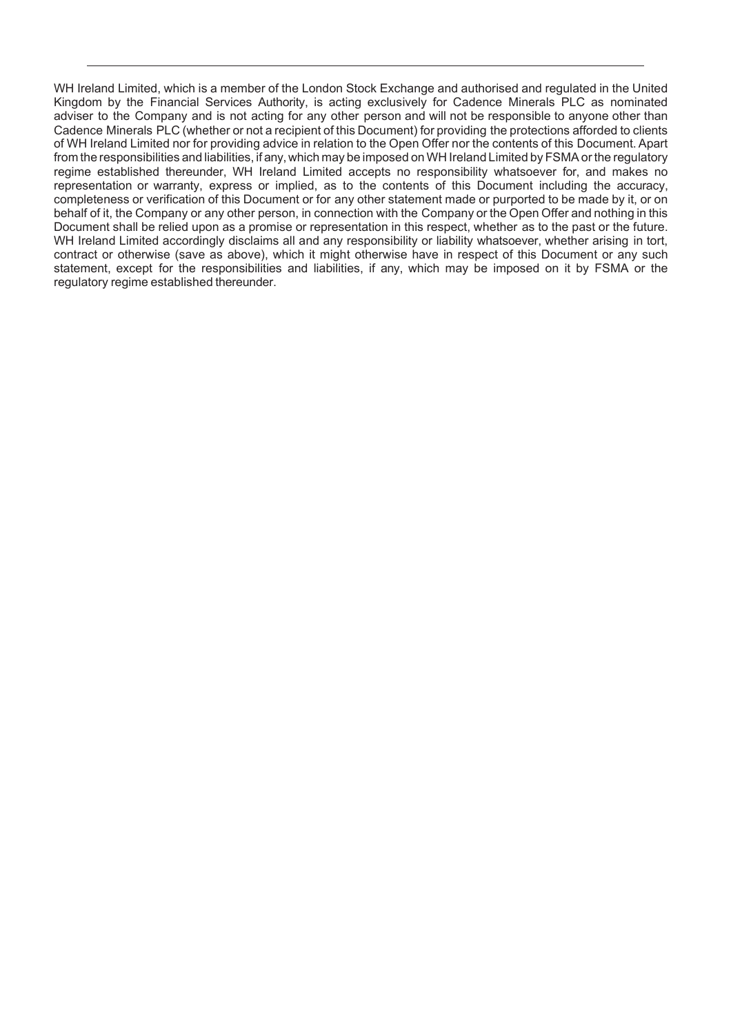WH Ireland Limited, which is a member of the London Stock Exchange and authorised and regulated in the United Kingdom by the Financial Services Authority, is acting exclusively for Cadence Minerals PLC as nominated adviser to the Company and is not acting for any other person and will not be responsible to anyone other than Cadence Minerals PLC (whether or not a recipient of this Document) for providing the protections afforded to clients of WH Ireland Limited nor for providing advice in relation to the Open Offer nor the contents of this Document. Apart from the responsibilities and liabilities, if any, which may be imposed on WH Ireland Limited by FSMA or the regulatory regime established thereunder, WH Ireland Limited accepts no responsibility whatsoever for, and makes no representation or warranty, express or implied, as to the contents of this Document including the accuracy, completeness or verification of this Document or for any other statement made or purported to be made by it, or on behalf of it, the Company or any other person, in connection with the Company or the Open Offer and nothing in this Document shall be relied upon as a promise or representation in this respect, whether as to the past or the future. WH Ireland Limited accordingly disclaims all and any responsibility or liability whatsoever, whether arising in tort, contract or otherwise (save as above), which it might otherwise have in respect of this Document or any such statement, except for the responsibilities and liabilities, if any, which may be imposed on it by FSMA or the regulatory regime established thereunder.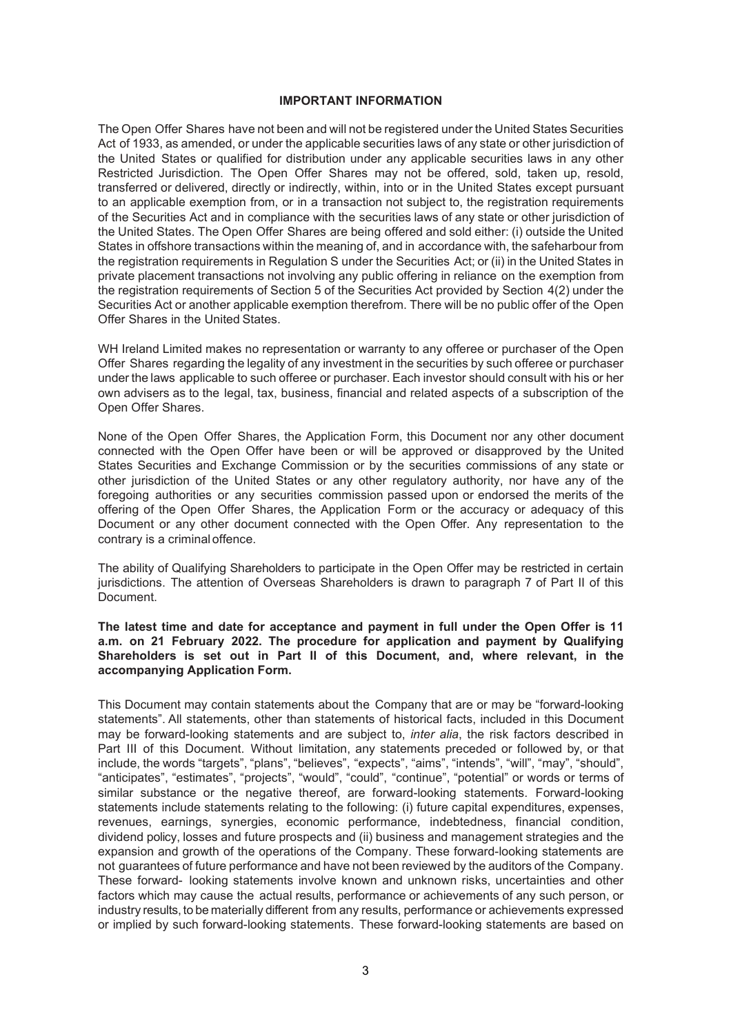#### **IMPORTANT INFORMATION**

The Open Offer Shares have not been and will not be registered under the United States Securities Act of 1933, as amended, or under the applicable securities laws of any state or other jurisdiction of the United States or qualified for distribution under any applicable securities laws in any other Restricted Jurisdiction. The Open Offer Shares may not be offered, sold, taken up, resold, transferred or delivered, directly or indirectly, within, into or in the United States except pursuant to an applicable exemption from, or in a transaction not subject to, the registration requirements of the Securities Act and in compliance with the securities laws of any state or other jurisdiction of the United States. The Open Offer Shares are being offered and sold either: (i) outside the United States in offshore transactions within the meaning of, and in accordance with, the safeharbour from the registration requirements in Regulation S under the Securities Act; or (ii) in the United States in private placement transactions not involving any public offering in reliance on the exemption from the registration requirements of Section 5 of the Securities Act provided by Section 4(2) under the Securities Act or another applicable exemption therefrom. There will be no public offer of the Open Offer Shares in the United States.

WH Ireland Limited makes no representation or warranty to any offeree or purchaser of the Open Offer Shares regarding the legality of any investment in the securities by such offeree or purchaser under the laws applicable to such offeree or purchaser. Each investor should consult with his or her own advisers as to the legal, tax, business, financial and related aspects of a subscription of the Open Offer Shares.

None of the Open Offer Shares, the Application Form, this Document nor any other document connected with the Open Offer have been or will be approved or disapproved by the United States Securities and Exchange Commission or by the securities commissions of any state or other jurisdiction of the United States or any other regulatory authority, nor have any of the foregoing authorities or any securities commission passed upon or endorsed the merits of the offering of the Open Offer Shares, the Application Form or the accuracy or adequacy of this Document or any other document connected with the Open Offer. Any representation to the contrary is a criminal offence.

The ability of Qualifying Shareholders to participate in the Open Offer may be restricted in certain jurisdictions. The attention of Overseas Shareholders is drawn to paragraph 7 of Part II of this Document.

**The latest time and date for acceptance and payment in full under the Open Offer is 11 a.m. on 21 February 2022. The procedure for application and payment by Qualifying Shareholders is set out in Part II of this Document, and, where relevant, in the accompanying Application Form.** 

This Document may contain statements about the Company that are or may be "forward-looking statements". All statements, other than statements of historical facts, included in this Document may be forward-looking statements and are subject to, *inter alia*, the risk factors described in Part III of this Document. Without limitation, any statements preceded or followed by, or that include, the words "targets", "plans", "believes", "expects", "aims", "intends", "will", "may", "should", "anticipates", "estimates", "projects", "would", "could", "continue", "potential" or words or terms of similar substance or the negative thereof, are forward-looking statements. Forward-looking statements include statements relating to the following: (i) future capital expenditures, expenses, revenues, earnings, synergies, economic performance, indebtedness, financial condition, dividend policy, losses and future prospects and (ii) business and management strategies and the expansion and growth of the operations of the Company. These forward-looking statements are not guarantees of future performance and have not been reviewed by the auditors of the Company. These forward- looking statements involve known and unknown risks, uncertainties and other factors which may cause the actual results, performance or achievements of any such person, or industry results, to be materially different from any results, performance or achievements expressed or implied by such forward-looking statements. These forward-looking statements are based on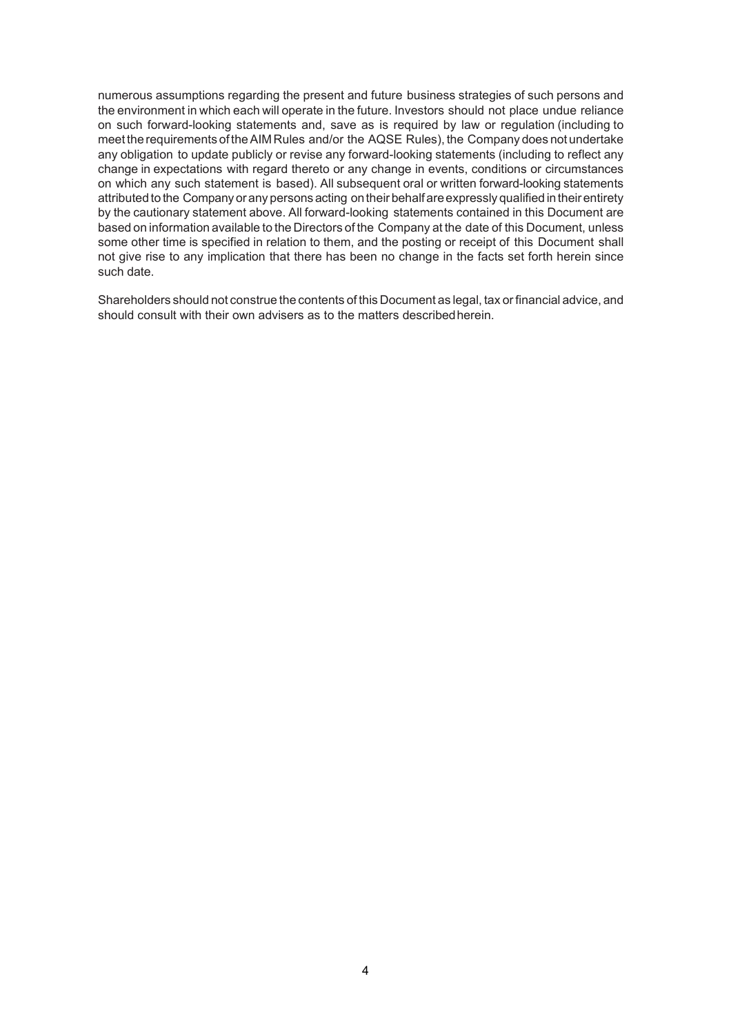numerous assumptions regarding the present and future business strategies of such persons and the environment in which each will operate in the future. Investors should not place undue reliance on such forward-looking statements and, save as is required by law or regulation (including to meet the requirements of the AIM Rules and/or the AQSE Rules), the Company does not undertake any obligation to update publicly or revise any forward-looking statements (including to reflect any change in expectations with regard thereto or any change in events, conditions or circumstances on which any such statement is based). All subsequent oral or written forward-looking statements attributed to the Company or any persons acting on their behalf are expressly qualified in their entirety by the cautionary statement above. All forward-looking statements contained in this Document are based on information available to the Directors of the Company at the date of this Document, unless some other time is specified in relation to them, and the posting or receipt of this Document shall not give rise to any implication that there has been no change in the facts set forth herein since such date.

Shareholders should not construe the contents of this Document as legal, tax or financial advice, and should consult with their own advisers as to the matters described herein.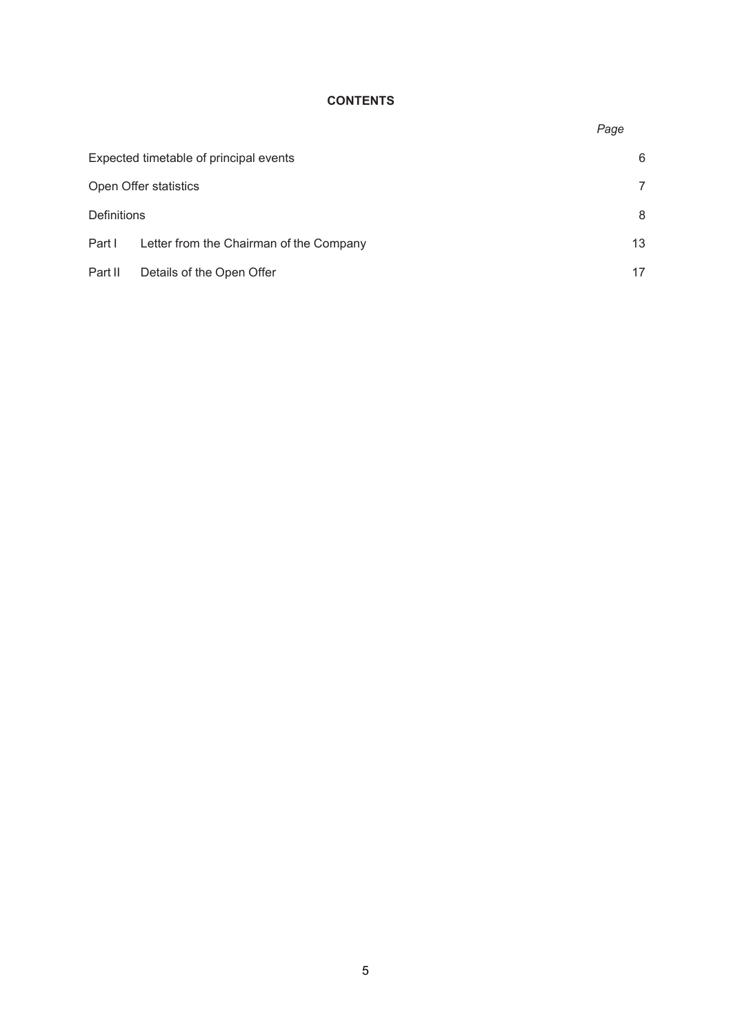# **CONTENTS**

*Page* 

| Expected timetable of principal events |                                         | 6  |
|----------------------------------------|-----------------------------------------|----|
| Open Offer statistics                  |                                         |    |
| <b>Definitions</b>                     |                                         | 8  |
| Part I                                 | Letter from the Chairman of the Company | 13 |
| Part II                                | Details of the Open Offer               |    |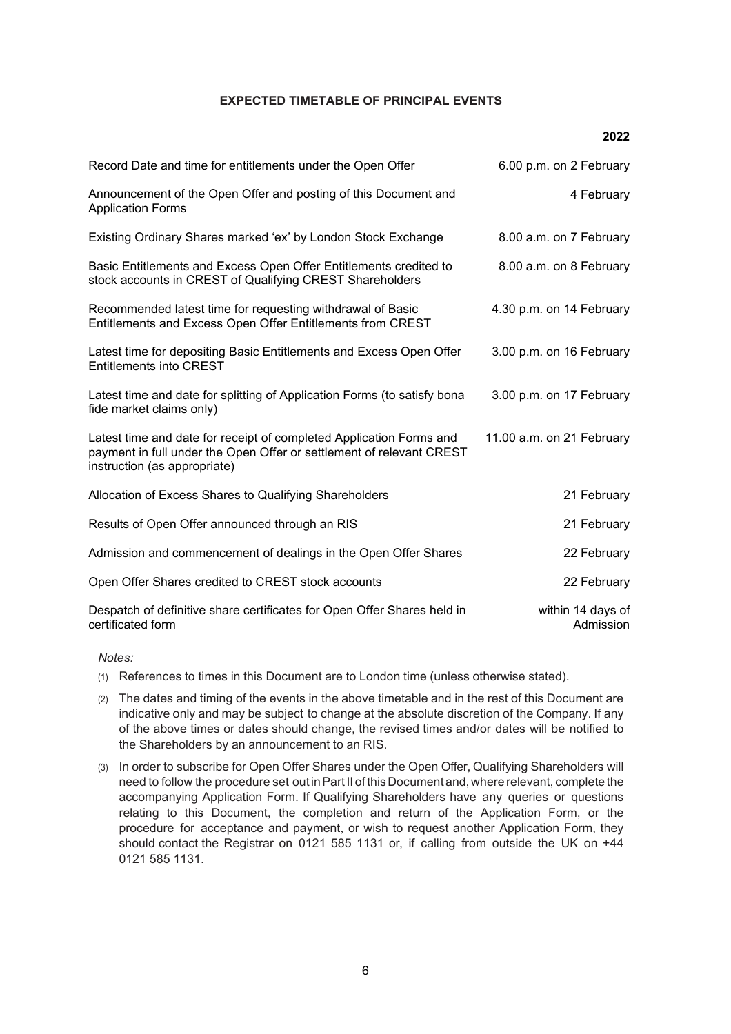#### **EXPECTED TIMETABLE OF PRINCIPAL EVENTS**

**2022**

| Record Date and time for entitlements under the Open Offer                                                                                                                  | 6.00 p.m. on 2 February        |
|-----------------------------------------------------------------------------------------------------------------------------------------------------------------------------|--------------------------------|
| Announcement of the Open Offer and posting of this Document and<br><b>Application Forms</b>                                                                                 | 4 February                     |
| Existing Ordinary Shares marked 'ex' by London Stock Exchange                                                                                                               | 8.00 a.m. on 7 February        |
| Basic Entitlements and Excess Open Offer Entitlements credited to<br>stock accounts in CREST of Qualifying CREST Shareholders                                               | 8.00 a.m. on 8 February        |
| Recommended latest time for requesting withdrawal of Basic<br>Entitlements and Excess Open Offer Entitlements from CREST                                                    | 4.30 p.m. on 14 February       |
| Latest time for depositing Basic Entitlements and Excess Open Offer<br><b>Entitlements into CREST</b>                                                                       | 3.00 p.m. on 16 February       |
| Latest time and date for splitting of Application Forms (to satisfy bona<br>fide market claims only)                                                                        | 3.00 p.m. on 17 February       |
| Latest time and date for receipt of completed Application Forms and<br>payment in full under the Open Offer or settlement of relevant CREST<br>instruction (as appropriate) | 11.00 a.m. on 21 February      |
| Allocation of Excess Shares to Qualifying Shareholders                                                                                                                      | 21 February                    |
| Results of Open Offer announced through an RIS                                                                                                                              | 21 February                    |
| Admission and commencement of dealings in the Open Offer Shares                                                                                                             | 22 February                    |
| Open Offer Shares credited to CREST stock accounts                                                                                                                          | 22 February                    |
| Despatch of definitive share certificates for Open Offer Shares held in<br>certificated form                                                                                | within 14 days of<br>Admission |

*Notes:* 

- (1) References to times in this Document are to London time (unless otherwise stated).
- (2) The dates and timing of the events in the above timetable and in the rest of this Document are indicative only and may be subject to change at the absolute discretion of the Company. If any of the above times or dates should change, the revised times and/or dates will be notified to the Shareholders by an announcement to an RIS.
- (3) In order to subscribe for Open Offer Shares under the Open Offer, Qualifying Shareholders will need to follow the procedure set out in Part II of this Document and, where relevant, complete the accompanying Application Form. If Qualifying Shareholders have any queries or questions relating to this Document, the completion and return of the Application Form, or the procedure for acceptance and payment, or wish to request another Application Form, they should contact the Registrar on 0121 585 1131 or, if calling from outside the UK on +44 0121 585 1131.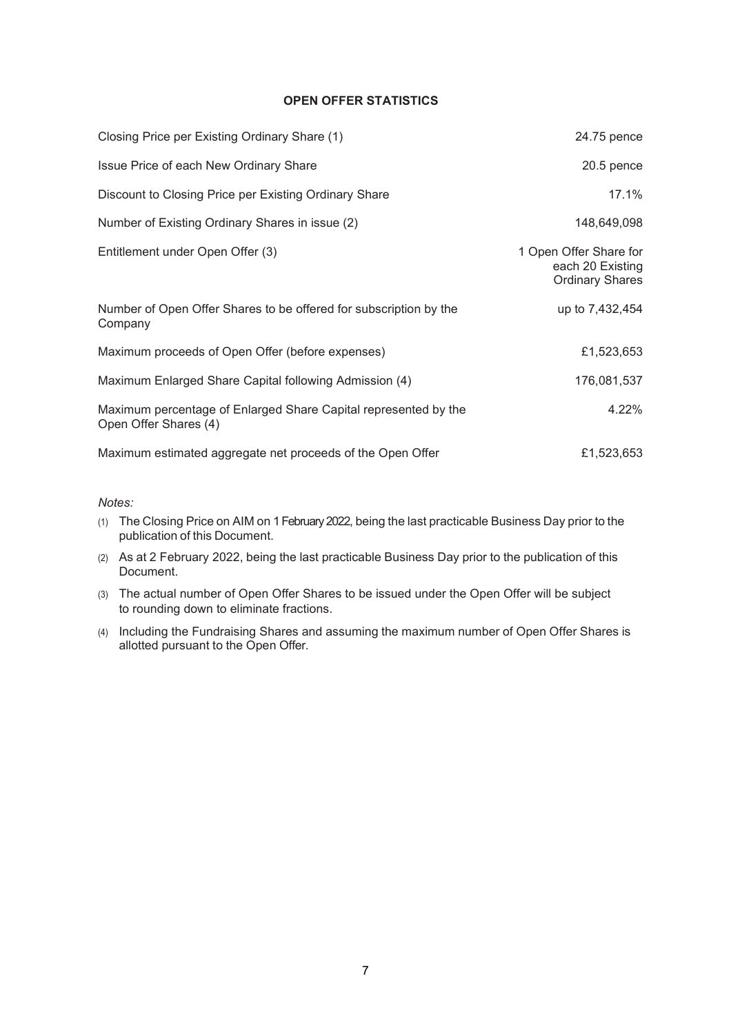### **OPEN OFFER STATISTICS**

| Closing Price per Existing Ordinary Share (1)                                            | 24.75 pence                                                          |
|------------------------------------------------------------------------------------------|----------------------------------------------------------------------|
| Issue Price of each New Ordinary Share                                                   | $20.5$ pence                                                         |
| Discount to Closing Price per Existing Ordinary Share                                    | 17.1%                                                                |
| Number of Existing Ordinary Shares in issue (2)                                          | 148,649,098                                                          |
| Entitlement under Open Offer (3)                                                         | 1 Open Offer Share for<br>each 20 Existing<br><b>Ordinary Shares</b> |
| Number of Open Offer Shares to be offered for subscription by the<br>Company             | up to 7,432,454                                                      |
| Maximum proceeds of Open Offer (before expenses)                                         | £1,523,653                                                           |
| Maximum Enlarged Share Capital following Admission (4)                                   | 176,081,537                                                          |
| Maximum percentage of Enlarged Share Capital represented by the<br>Open Offer Shares (4) | 4.22%                                                                |
| Maximum estimated aggregate net proceeds of the Open Offer                               | £1,523,653                                                           |

#### *Notes:*

- (1) The Closing Price on AIM on 1 February 2022, being the last practicable Business Day prior to the publication of this Document.
- (2) As at 2 February 2022, being the last practicable Business Day prior to the publication of this Document.
- (3) The actual number of Open Offer Shares to be issued under the Open Offer will be subject to rounding down to eliminate fractions.
- (4) Including the Fundraising Shares and assuming the maximum number of Open Offer Shares is allotted pursuant to the Open Offer.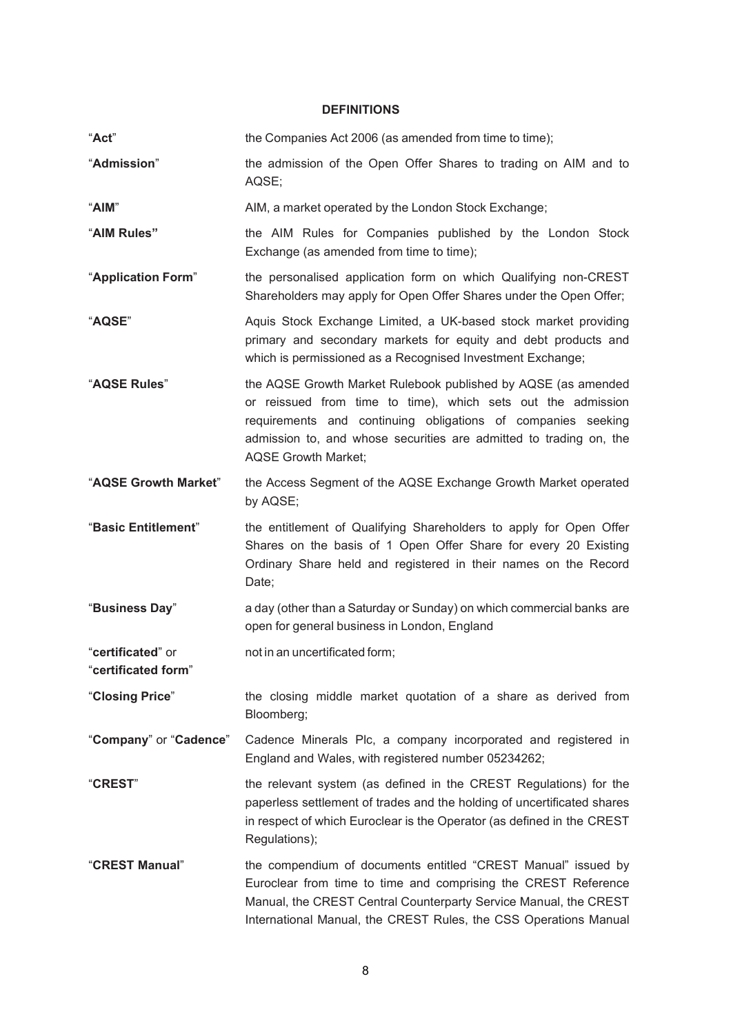## **DEFINITIONS**

| "Act"                                    | the Companies Act 2006 (as amended from time to time);                                                                                                                                                                                                                                            |
|------------------------------------------|---------------------------------------------------------------------------------------------------------------------------------------------------------------------------------------------------------------------------------------------------------------------------------------------------|
| "Admission"                              | the admission of the Open Offer Shares to trading on AIM and to<br>AQSE;                                                                                                                                                                                                                          |
| "AIM"                                    | AIM, a market operated by the London Stock Exchange;                                                                                                                                                                                                                                              |
| "AIM Rules"                              | the AIM Rules for Companies published by the London Stock<br>Exchange (as amended from time to time);                                                                                                                                                                                             |
| "Application Form"                       | the personalised application form on which Qualifying non-CREST<br>Shareholders may apply for Open Offer Shares under the Open Offer;                                                                                                                                                             |
| "AQSE"                                   | Aquis Stock Exchange Limited, a UK-based stock market providing<br>primary and secondary markets for equity and debt products and<br>which is permissioned as a Recognised Investment Exchange;                                                                                                   |
| "AQSE Rules"                             | the AQSE Growth Market Rulebook published by AQSE (as amended<br>or reissued from time to time), which sets out the admission<br>requirements and continuing obligations of companies seeking<br>admission to, and whose securities are admitted to trading on, the<br><b>AQSE Growth Market;</b> |
| "AQSE Growth Market"                     | the Access Segment of the AQSE Exchange Growth Market operated<br>by AQSE;                                                                                                                                                                                                                        |
| "Basic Entitlement"                      | the entitlement of Qualifying Shareholders to apply for Open Offer<br>Shares on the basis of 1 Open Offer Share for every 20 Existing<br>Ordinary Share held and registered in their names on the Record<br>Date;                                                                                 |
| "Business Day"                           | a day (other than a Saturday or Sunday) on which commercial banks are<br>open for general business in London, England                                                                                                                                                                             |
| "certificated" or<br>"certificated form" | not in an uncertificated form;                                                                                                                                                                                                                                                                    |
| "Closing Price"                          | the closing middle market quotation of a share as derived from<br>Bloomberg;                                                                                                                                                                                                                      |
| "Company" or "Cadence"                   | Cadence Minerals Plc, a company incorporated and registered in<br>England and Wales, with registered number 05234262;                                                                                                                                                                             |
| "CREST"                                  | the relevant system (as defined in the CREST Regulations) for the<br>paperless settlement of trades and the holding of uncertificated shares<br>in respect of which Euroclear is the Operator (as defined in the CREST<br>Regulations);                                                           |
| "CREST Manual"                           | the compendium of documents entitled "CREST Manual" issued by<br>Euroclear from time to time and comprising the CREST Reference<br>Manual, the CREST Central Counterparty Service Manual, the CREST<br>International Manual, the CREST Rules, the CSS Operations Manual                           |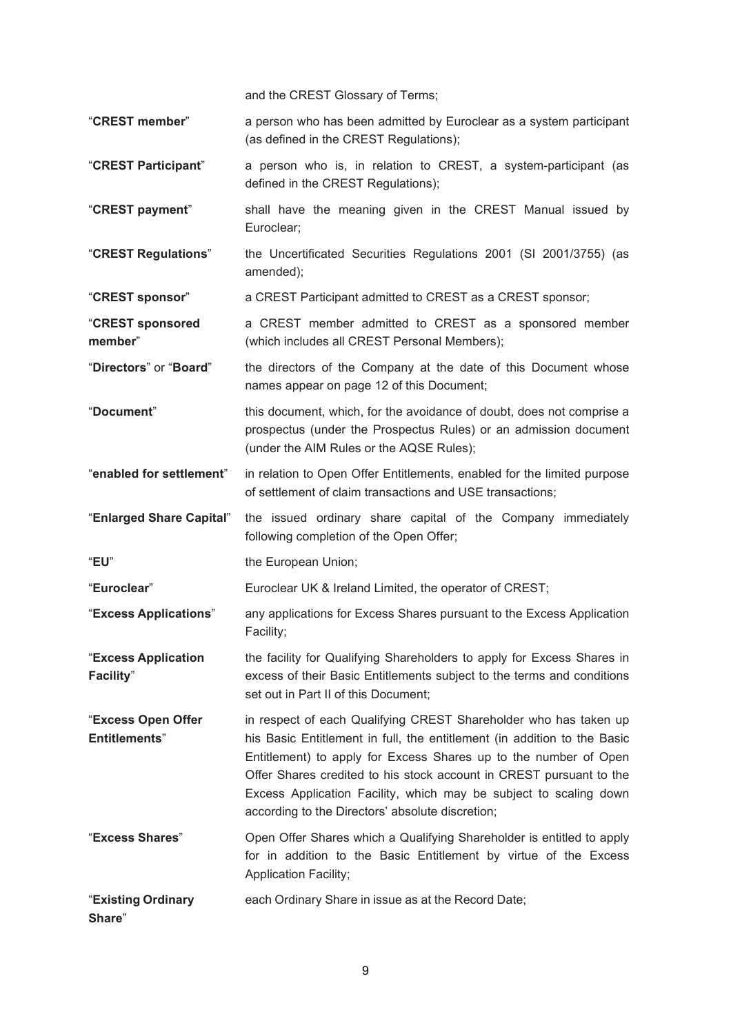and the CREST Glossary of Terms;

"**CREST member**" a person who has been admitted by Euroclear as a system participant (as defined in the CREST Regulations);

"**CREST Participant**" a person who is, in relation to CREST, a system-participant (as defined in the CREST Regulations);

"**CREST payment**" shall have the meaning given in the CREST Manual issued by Euroclear;

"**CREST Regulations**" the Uncertificated Securities Regulations 2001 (SI 2001/3755) (as amended);

"**CREST sponsor**" a CREST Participant admitted to CREST as a CREST sponsor;

"**CREST sponsored member**" a CREST member admitted to CREST as a sponsored member (which includes all CREST Personal Members);

"**Directors**" or "**Board**" the directors of the Company at the date of this Document whose names appear on page 12 of this Document;

"**Document**" this document, which, for the avoidance of doubt, does not comprise a prospectus (under the Prospectus Rules) or an admission document (under the AIM Rules or the AQSE Rules);

"**enabled for settlement**" in relation to Open Offer Entitlements, enabled for the limited purpose of settlement of claim transactions and USE transactions;

"**Enlarged Share Capital**" the issued ordinary share capital of the Company immediately following completion of the Open Offer;

"**EU**" the European Union;

"**Euroclear**" Euroclear UK & Ireland Limited, the operator of CREST;

"**Excess Applications**" any applications for Excess Shares pursuant to the Excess Application Facility;

"**Excess Application Facility**" the facility for Qualifying Shareholders to apply for Excess Shares in excess of their Basic Entitlements subject to the terms and conditions set out in Part II of this Document;

"**Excess Open Offer Entitlements**" in respect of each Qualifying CREST Shareholder who has taken up his Basic Entitlement in full, the entitlement (in addition to the Basic Entitlement) to apply for Excess Shares up to the number of Open Offer Shares credited to his stock account in CREST pursuant to the Excess Application Facility, which may be subject to scaling down according to the Directors' absolute discretion;

"**Excess Shares**" Open Offer Shares which a Qualifying Shareholder is entitled to apply for in addition to the Basic Entitlement by virtue of the Excess Application Facility;

"**Existing Ordinary Share**" each Ordinary Share in issue as at the Record Date;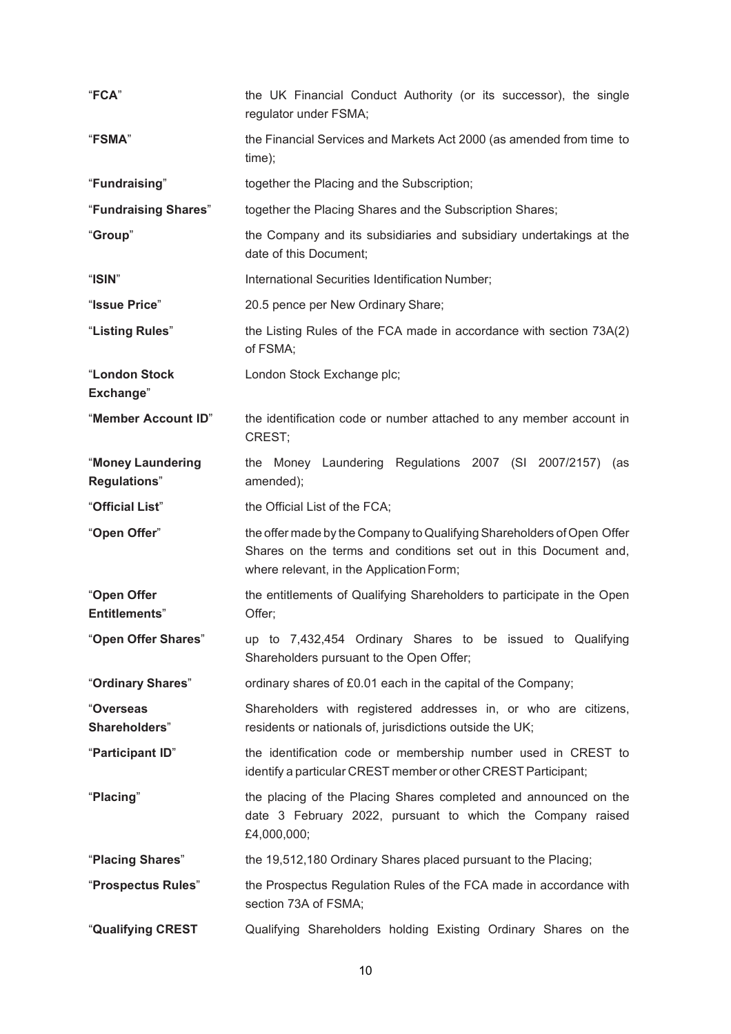| "FCA"                                    | the UK Financial Conduct Authority (or its successor), the single<br>regulator under FSMA;                                                                                             |
|------------------------------------------|----------------------------------------------------------------------------------------------------------------------------------------------------------------------------------------|
| "FSMA"                                   | the Financial Services and Markets Act 2000 (as amended from time to<br>time);                                                                                                         |
| "Fundraising"                            | together the Placing and the Subscription;                                                                                                                                             |
| "Fundraising Shares"                     | together the Placing Shares and the Subscription Shares;                                                                                                                               |
| "Group"                                  | the Company and its subsidiaries and subsidiary undertakings at the<br>date of this Document;                                                                                          |
| "ISIN"                                   | International Securities Identification Number;                                                                                                                                        |
| "Issue Price"                            | 20.5 pence per New Ordinary Share;                                                                                                                                                     |
| "Listing Rules"                          | the Listing Rules of the FCA made in accordance with section 73A(2)<br>of FSMA;                                                                                                        |
| "London Stock<br>Exchange"               | London Stock Exchange plc;                                                                                                                                                             |
| "Member Account ID"                      | the identification code or number attached to any member account in<br>CREST;                                                                                                          |
| "Money Laundering<br><b>Regulations"</b> | the Money Laundering Regulations 2007 (SI 2007/2157) (as<br>amended);                                                                                                                  |
| "Official List"                          | the Official List of the FCA;                                                                                                                                                          |
| "Open Offer"                             | the offer made by the Company to Qualifying Shareholders of Open Offer<br>Shares on the terms and conditions set out in this Document and,<br>where relevant, in the Application Form; |
| "Open Offer<br><b>Entitlements"</b>      | the entitlements of Qualifying Shareholders to participate in the Open<br>Offer;                                                                                                       |
| "Open Offer Shares"                      | up to 7,432,454 Ordinary Shares to be issued to Qualifying<br>Shareholders pursuant to the Open Offer;                                                                                 |
| "Ordinary Shares"                        | ordinary shares of £0.01 each in the capital of the Company;                                                                                                                           |
| "Overseas<br>Shareholders"               | Shareholders with registered addresses in, or who are citizens,<br>residents or nationals of, jurisdictions outside the UK;                                                            |
| "Participant ID"                         | the identification code or membership number used in CREST to<br>identify a particular CREST member or other CREST Participant;                                                        |
| "Placing"                                | the placing of the Placing Shares completed and announced on the<br>date 3 February 2022, pursuant to which the Company raised<br>£4,000,000;                                          |
| "Placing Shares"                         | the 19,512,180 Ordinary Shares placed pursuant to the Placing;                                                                                                                         |
| "Prospectus Rules"                       | the Prospectus Regulation Rules of the FCA made in accordance with                                                                                                                     |
|                                          | section 73A of FSMA;                                                                                                                                                                   |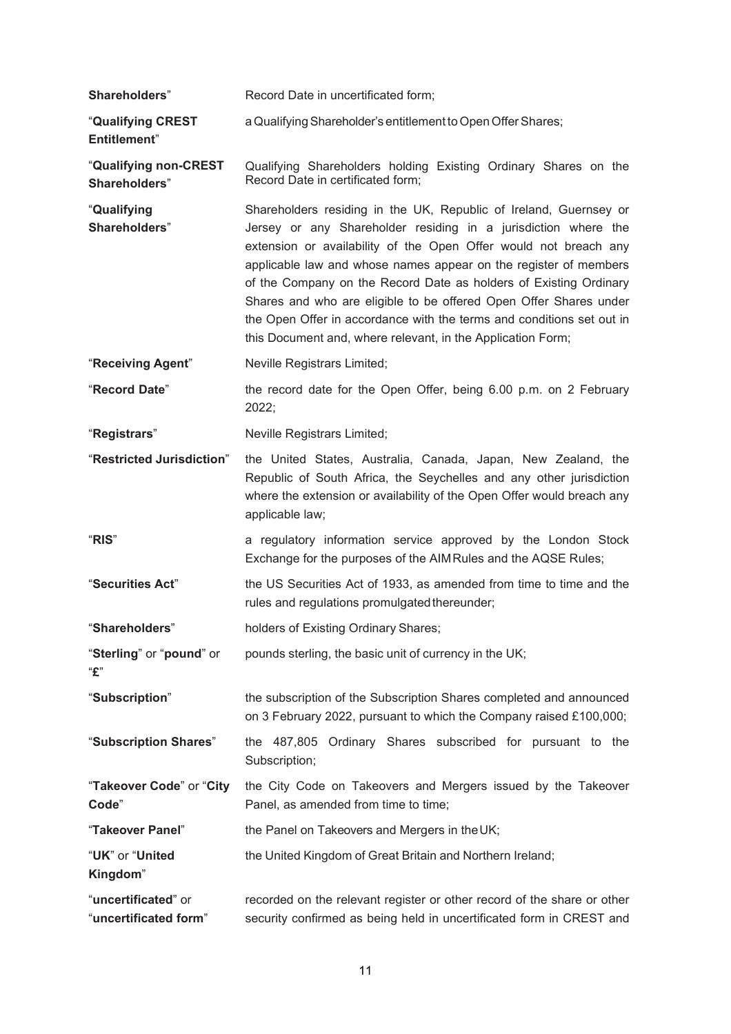| Shareholders"                                | Record Date in uncertificated form;                                                                                                                                                                                                                                                                                                                                                                                                                                                                                                                           |
|----------------------------------------------|---------------------------------------------------------------------------------------------------------------------------------------------------------------------------------------------------------------------------------------------------------------------------------------------------------------------------------------------------------------------------------------------------------------------------------------------------------------------------------------------------------------------------------------------------------------|
| "Qualifying CREST<br><b>Entitlement</b> "    | a Qualifying Shareholder's entitlement to Open Offer Shares;                                                                                                                                                                                                                                                                                                                                                                                                                                                                                                  |
| "Qualifying non-CREST<br>Shareholders"       | Qualifying Shareholders holding Existing Ordinary Shares on the<br>Record Date in certificated form;                                                                                                                                                                                                                                                                                                                                                                                                                                                          |
| "Qualifying<br>Shareholders"                 | Shareholders residing in the UK, Republic of Ireland, Guernsey or<br>Jersey or any Shareholder residing in a jurisdiction where the<br>extension or availability of the Open Offer would not breach any<br>applicable law and whose names appear on the register of members<br>of the Company on the Record Date as holders of Existing Ordinary<br>Shares and who are eligible to be offered Open Offer Shares under<br>the Open Offer in accordance with the terms and conditions set out in<br>this Document and, where relevant, in the Application Form; |
| "Receiving Agent"                            | Neville Registrars Limited;                                                                                                                                                                                                                                                                                                                                                                                                                                                                                                                                   |
| "Record Date"                                | the record date for the Open Offer, being 6.00 p.m. on 2 February<br>2022;                                                                                                                                                                                                                                                                                                                                                                                                                                                                                    |
| "Registrars"                                 | Neville Registrars Limited;                                                                                                                                                                                                                                                                                                                                                                                                                                                                                                                                   |
| "Restricted Jurisdiction"                    | the United States, Australia, Canada, Japan, New Zealand, the<br>Republic of South Africa, the Seychelles and any other jurisdiction<br>where the extension or availability of the Open Offer would breach any<br>applicable law;                                                                                                                                                                                                                                                                                                                             |
| "RIS"                                        | a regulatory information service approved by the London Stock<br>Exchange for the purposes of the AIM Rules and the AQSE Rules;                                                                                                                                                                                                                                                                                                                                                                                                                               |
| "Securities Act"                             | the US Securities Act of 1933, as amended from time to time and the<br>rules and regulations promulgated thereunder;                                                                                                                                                                                                                                                                                                                                                                                                                                          |
| "Shareholders"                               | holders of Existing Ordinary Shares;                                                                                                                                                                                                                                                                                                                                                                                                                                                                                                                          |
| "Sterling" or "pound" or<br>"£"              | pounds sterling, the basic unit of currency in the UK;                                                                                                                                                                                                                                                                                                                                                                                                                                                                                                        |
| "Subscription"                               | the subscription of the Subscription Shares completed and announced<br>on 3 February 2022, pursuant to which the Company raised £100,000;                                                                                                                                                                                                                                                                                                                                                                                                                     |
| "Subscription Shares"                        | the 487,805 Ordinary Shares subscribed for pursuant to the<br>Subscription;                                                                                                                                                                                                                                                                                                                                                                                                                                                                                   |
| "Takeover Code" or "City<br>Code"            | the City Code on Takeovers and Mergers issued by the Takeover<br>Panel, as amended from time to time;                                                                                                                                                                                                                                                                                                                                                                                                                                                         |
| "Takeover Panel"                             | the Panel on Takeovers and Mergers in the UK;                                                                                                                                                                                                                                                                                                                                                                                                                                                                                                                 |
| "UK" or "United<br>Kingdom"                  | the United Kingdom of Great Britain and Northern Ireland;                                                                                                                                                                                                                                                                                                                                                                                                                                                                                                     |
| "uncertificated" or<br>"uncertificated form" | recorded on the relevant register or other record of the share or other<br>security confirmed as being held in uncertificated form in CREST and                                                                                                                                                                                                                                                                                                                                                                                                               |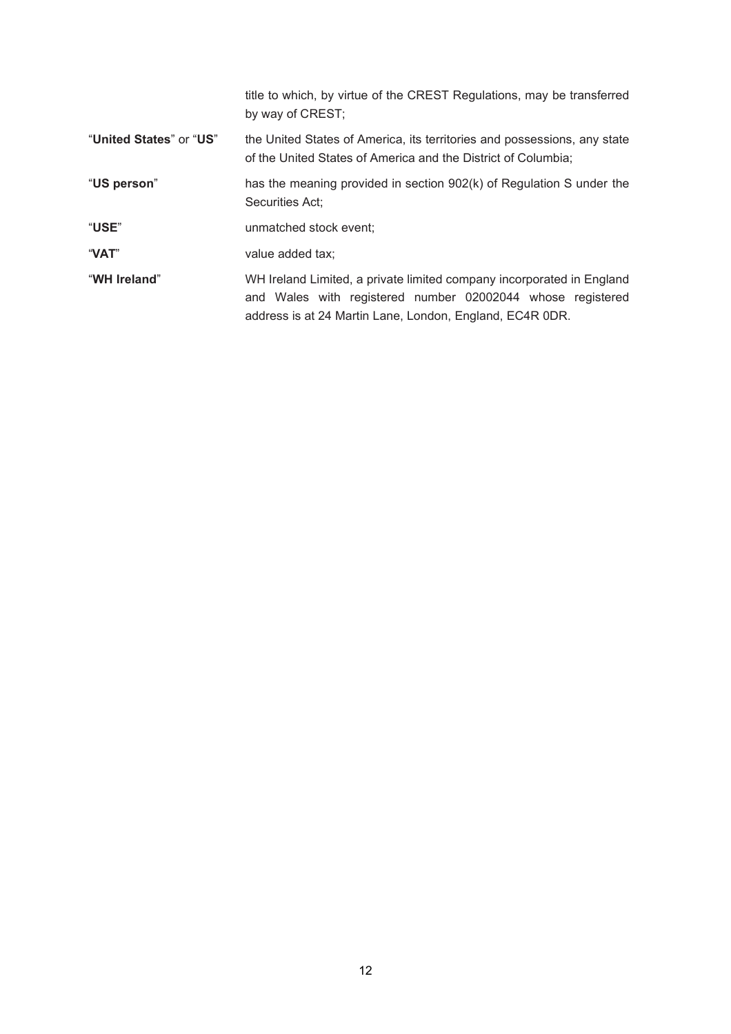|                         | title to which, by virtue of the CREST Regulations, may be transferred<br>by way of CREST;                                                                                                      |
|-------------------------|-------------------------------------------------------------------------------------------------------------------------------------------------------------------------------------------------|
| "United States" or "US" | the United States of America, its territories and possessions, any state<br>of the United States of America and the District of Columbia;                                                       |
| "US person"             | has the meaning provided in section 902(k) of Regulation S under the<br>Securities Act;                                                                                                         |
| "USE"                   | unmatched stock event;                                                                                                                                                                          |
| "VAT"                   | value added tax;                                                                                                                                                                                |
| "WH Ireland"            | WH Ireland Limited, a private limited company incorporated in England<br>and Wales with registered number 02002044 whose registered<br>address is at 24 Martin Lane, London, England, EC4R 0DR. |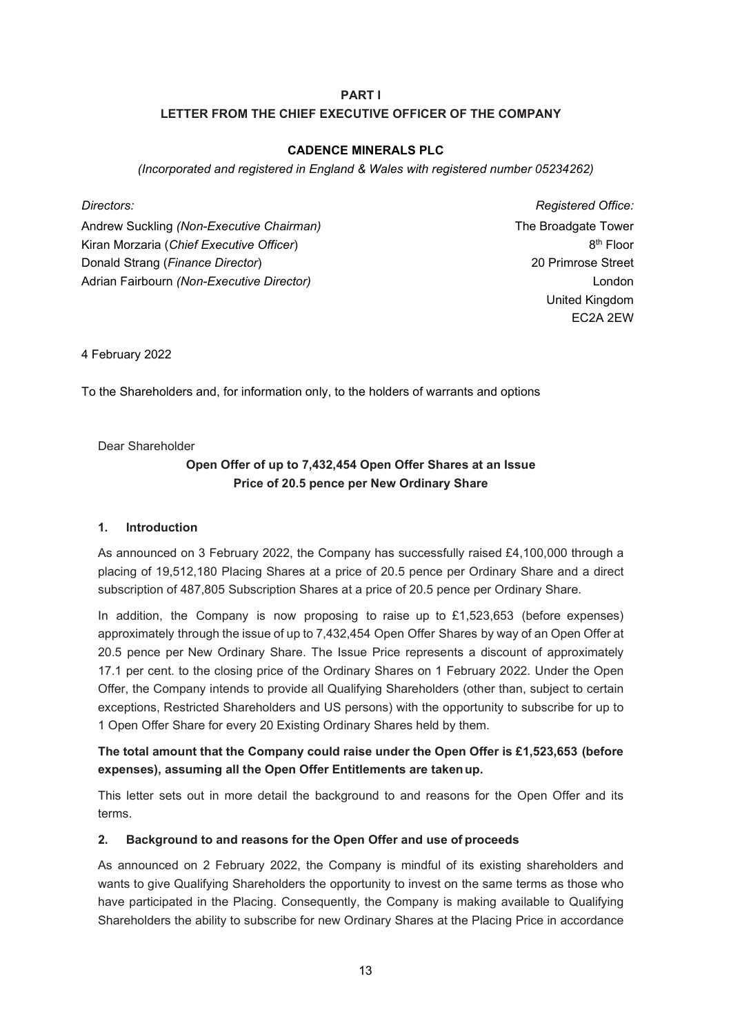# **PART I LETTER FROM THE CHIEF EXECUTIVE OFFICER OF THE COMPANY**

## **CADENCE MINERALS PLC**

*(Incorporated and registered in England & Wales with registered number 05234262)* 

Andrew Suckling *(Non-Executive Chairman)*  Kiran Morzaria (*Chief Executive Officer*) Donald Strang (*Finance Director*) Adrian Fairbourn *(Non-Executive Director)*

*Directors: Registered Office:* The Broadgate Tower 8th Floor 20 Primrose Street London United Kingdom EC2A 2EW

4 February 2022

To the Shareholders and, for information only, to the holders of warrants and options

Dear Shareholder

# **Open Offer of up to 7,432,454 Open Offer Shares at an Issue Price of 20.5 pence per New Ordinary Share**

### **1. Introduction**

As announced on 3 February 2022, the Company has successfully raised £4,100,000 through a placing of 19,512,180 Placing Shares at a price of 20.5 pence per Ordinary Share and a direct subscription of 487,805 Subscription Shares at a price of 20.5 pence per Ordinary Share.

In addition, the Company is now proposing to raise up to  $£1,523,653$  (before expenses) approximately through the issue of up to 7,432,454 Open Offer Shares by way of an Open Offer at 20.5 pence per New Ordinary Share. The Issue Price represents a discount of approximately 17.1 per cent. to the closing price of the Ordinary Shares on 1 February 2022. Under the Open Offer, the Company intends to provide all Qualifying Shareholders (other than, subject to certain exceptions, Restricted Shareholders and US persons) with the opportunity to subscribe for up to 1 Open Offer Share for every 20 Existing Ordinary Shares held by them.

# **The total amount that the Company could raise under the Open Offer is £1,523,653 (before expenses), assuming all the Open Offer Entitlements are taken up.**

This letter sets out in more detail the background to and reasons for the Open Offer and its terms.

# **2. Background to and reasons for the Open Offer and use of proceeds**

As announced on 2 February 2022, the Company is mindful of its existing shareholders and wants to give Qualifying Shareholders the opportunity to invest on the same terms as those who have participated in the Placing. Consequently, the Company is making available to Qualifying Shareholders the ability to subscribe for new Ordinary Shares at the Placing Price in accordance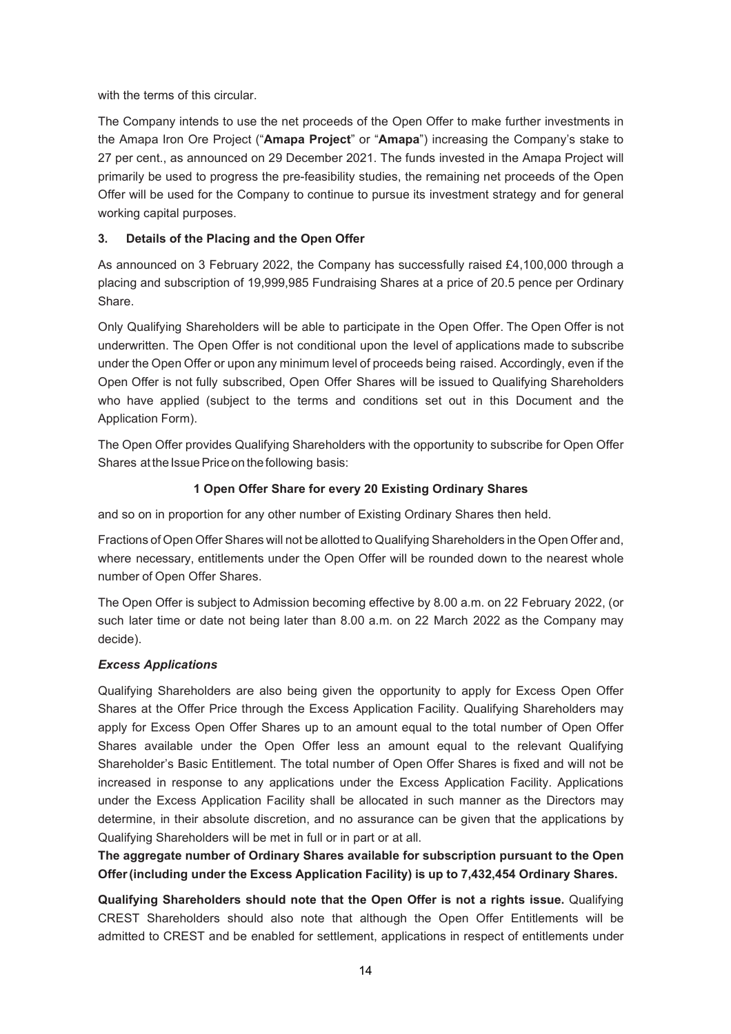with the terms of this circular.

The Company intends to use the net proceeds of the Open Offer to make further investments in the Amapa Iron Ore Project ("**Amapa Project**" or "**Amapa**") increasing the Company's stake to 27 per cent., as announced on 29 December 2021. The funds invested in the Amapa Project will primarily be used to progress the pre-feasibility studies, the remaining net proceeds of the Open Offer will be used for the Company to continue to pursue its investment strategy and for general working capital purposes.

# **3. Details of the Placing and the Open Offer**

As announced on 3 February 2022, the Company has successfully raised £4,100,000 through a placing and subscription of 19,999,985 Fundraising Shares at a price of 20.5 pence per Ordinary Share.

Only Qualifying Shareholders will be able to participate in the Open Offer. The Open Offer is not underwritten. The Open Offer is not conditional upon the level of applications made to subscribe under the Open Offer or upon any minimum level of proceeds being raised. Accordingly, even if the Open Offer is not fully subscribed, Open Offer Shares will be issued to Qualifying Shareholders who have applied (subject to the terms and conditions set out in this Document and the Application Form).

The Open Offer provides Qualifying Shareholders with the opportunity to subscribe for Open Offer Shares at the Issue Price on the following basis:

# **1 Open Offer Share for every 20 Existing Ordinary Shares**

and so on in proportion for any other number of Existing Ordinary Shares then held.

Fractions of Open Offer Shares will not be allotted to Qualifying Shareholders in the Open Offer and, where necessary, entitlements under the Open Offer will be rounded down to the nearest whole number of Open Offer Shares.

The Open Offer is subject to Admission becoming effective by 8.00 a.m. on 22 February 2022, (or such later time or date not being later than 8.00 a.m. on 22 March 2022 as the Company may decide).

# *Excess Applications*

Qualifying Shareholders are also being given the opportunity to apply for Excess Open Offer Shares at the Offer Price through the Excess Application Facility. Qualifying Shareholders may apply for Excess Open Offer Shares up to an amount equal to the total number of Open Offer Shares available under the Open Offer less an amount equal to the relevant Qualifying Shareholder's Basic Entitlement. The total number of Open Offer Shares is fixed and will not be increased in response to any applications under the Excess Application Facility. Applications under the Excess Application Facility shall be allocated in such manner as the Directors may determine, in their absolute discretion, and no assurance can be given that the applications by Qualifying Shareholders will be met in full or in part or at all.

**The aggregate number of Ordinary Shares available for subscription pursuant to the Open Offer (including under the Excess Application Facility) is up to 7,432,454 Ordinary Shares.** 

**Qualifying Shareholders should note that the Open Offer is not a rights issue.** Qualifying CREST Shareholders should also note that although the Open Offer Entitlements will be admitted to CREST and be enabled for settlement, applications in respect of entitlements under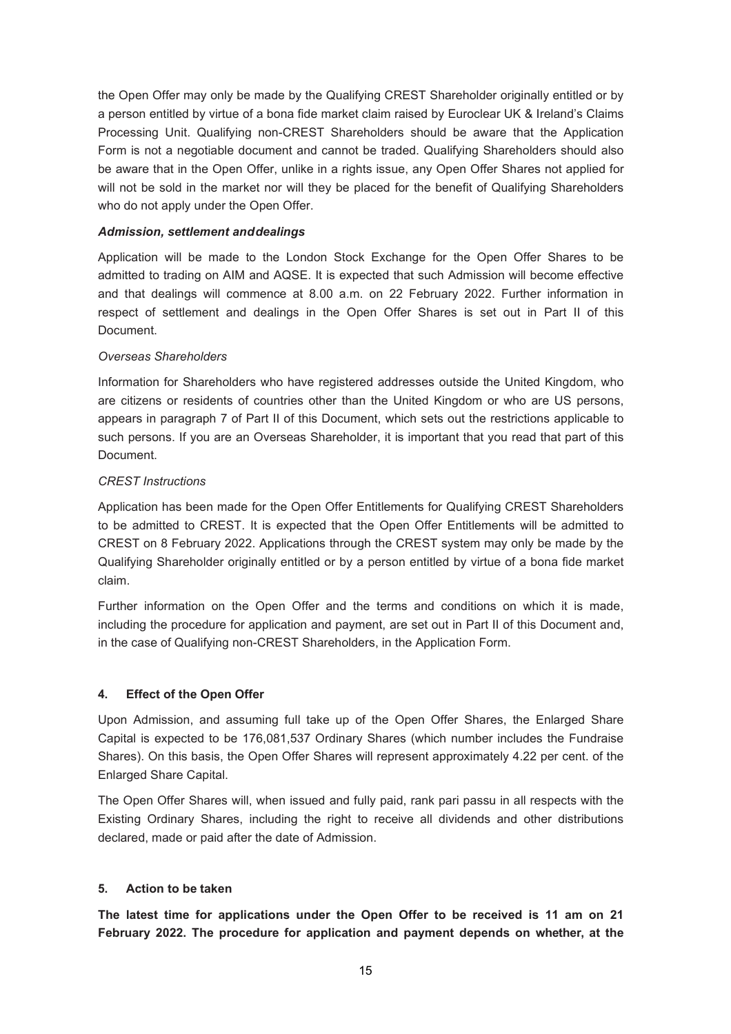the Open Offer may only be made by the Qualifying CREST Shareholder originally entitled or by a person entitled by virtue of a bona fide market claim raised by Euroclear UK & Ireland's Claims Processing Unit. Qualifying non-CREST Shareholders should be aware that the Application Form is not a negotiable document and cannot be traded. Qualifying Shareholders should also be aware that in the Open Offer, unlike in a rights issue, any Open Offer Shares not applied for will not be sold in the market nor will they be placed for the benefit of Qualifying Shareholders who do not apply under the Open Offer.

#### *Admission, settlement and dealings*

Application will be made to the London Stock Exchange for the Open Offer Shares to be admitted to trading on AIM and AQSE. It is expected that such Admission will become effective and that dealings will commence at 8.00 a.m. on 22 February 2022. Further information in respect of settlement and dealings in the Open Offer Shares is set out in Part II of this Document.

#### *Overseas Shareholders*

Information for Shareholders who have registered addresses outside the United Kingdom, who are citizens or residents of countries other than the United Kingdom or who are US persons, appears in paragraph 7 of Part II of this Document, which sets out the restrictions applicable to such persons. If you are an Overseas Shareholder, it is important that you read that part of this Document.

#### *CREST Instructions*

Application has been made for the Open Offer Entitlements for Qualifying CREST Shareholders to be admitted to CREST. It is expected that the Open Offer Entitlements will be admitted to CREST on 8 February 2022. Applications through the CREST system may only be made by the Qualifying Shareholder originally entitled or by a person entitled by virtue of a bona fide market claim.

Further information on the Open Offer and the terms and conditions on which it is made, including the procedure for application and payment, are set out in Part II of this Document and, in the case of Qualifying non-CREST Shareholders, in the Application Form.

### **4. Effect of the Open Offer**

Upon Admission, and assuming full take up of the Open Offer Shares, the Enlarged Share Capital is expected to be 176,081,537 Ordinary Shares (which number includes the Fundraise Shares). On this basis, the Open Offer Shares will represent approximately 4.22 per cent. of the Enlarged Share Capital.

The Open Offer Shares will, when issued and fully paid, rank pari passu in all respects with the Existing Ordinary Shares, including the right to receive all dividends and other distributions declared, made or paid after the date of Admission.

### **5. Action to be taken**

**The latest time for applications under the Open Offer to be received is 11 am on 21 February 2022. The procedure for application and payment depends on whether, at the**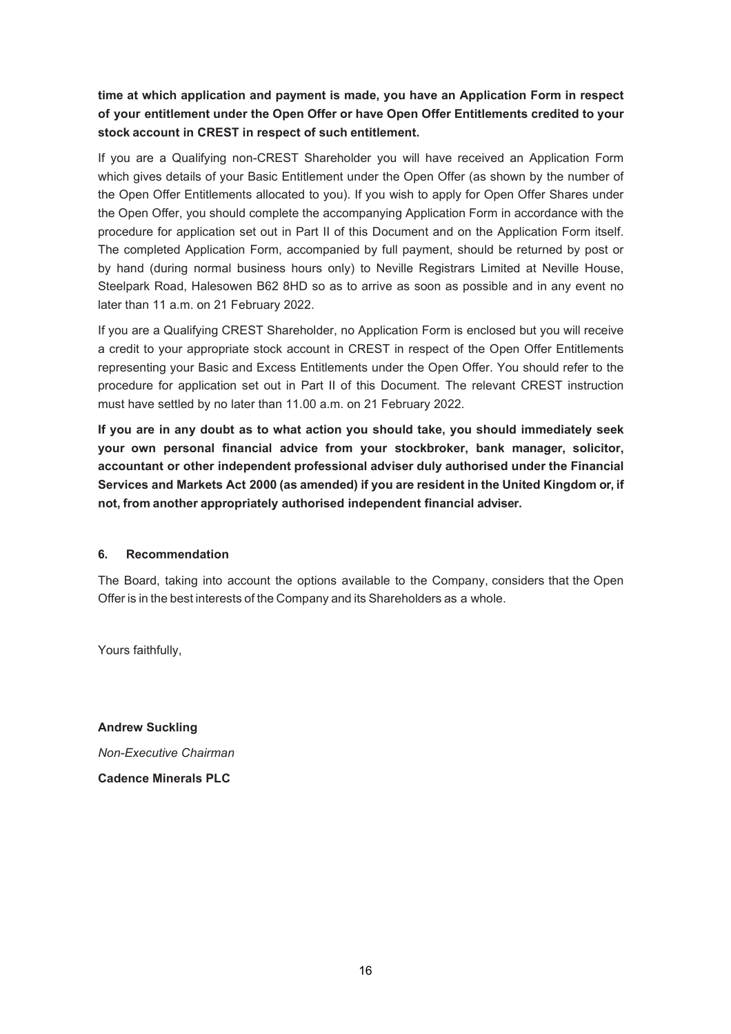**time at which application and payment is made, you have an Application Form in respect of your entitlement under the Open Offer or have Open Offer Entitlements credited to your stock account in CREST in respect of such entitlement.** 

If you are a Qualifying non-CREST Shareholder you will have received an Application Form which gives details of your Basic Entitlement under the Open Offer (as shown by the number of the Open Offer Entitlements allocated to you). If you wish to apply for Open Offer Shares under the Open Offer, you should complete the accompanying Application Form in accordance with the procedure for application set out in Part II of this Document and on the Application Form itself. The completed Application Form, accompanied by full payment, should be returned by post or by hand (during normal business hours only) to Neville Registrars Limited at Neville House, Steelpark Road, Halesowen B62 8HD so as to arrive as soon as possible and in any event no later than 11 a.m. on 21 February 2022.

If you are a Qualifying CREST Shareholder, no Application Form is enclosed but you will receive a credit to your appropriate stock account in CREST in respect of the Open Offer Entitlements representing your Basic and Excess Entitlements under the Open Offer. You should refer to the procedure for application set out in Part II of this Document. The relevant CREST instruction must have settled by no later than 11.00 a.m. on 21 February 2022.

**If you are in any doubt as to what action you should take, you should immediately seek your own personal financial advice from your stockbroker, bank manager, solicitor, accountant or other independent professional adviser duly authorised under the Financial Services and Markets Act 2000 (as amended) if you are resident in the United Kingdom or, if not, from another appropriately authorised independent financial adviser.** 

### **6. Recommendation**

The Board, taking into account the options available to the Company, considers that the Open Offer is in the best interests of the Company and its Shareholders as a whole.

Yours faithfully,

**Andrew Suckling**  *Non-Executive Chairman*  **Cadence Minerals PLC**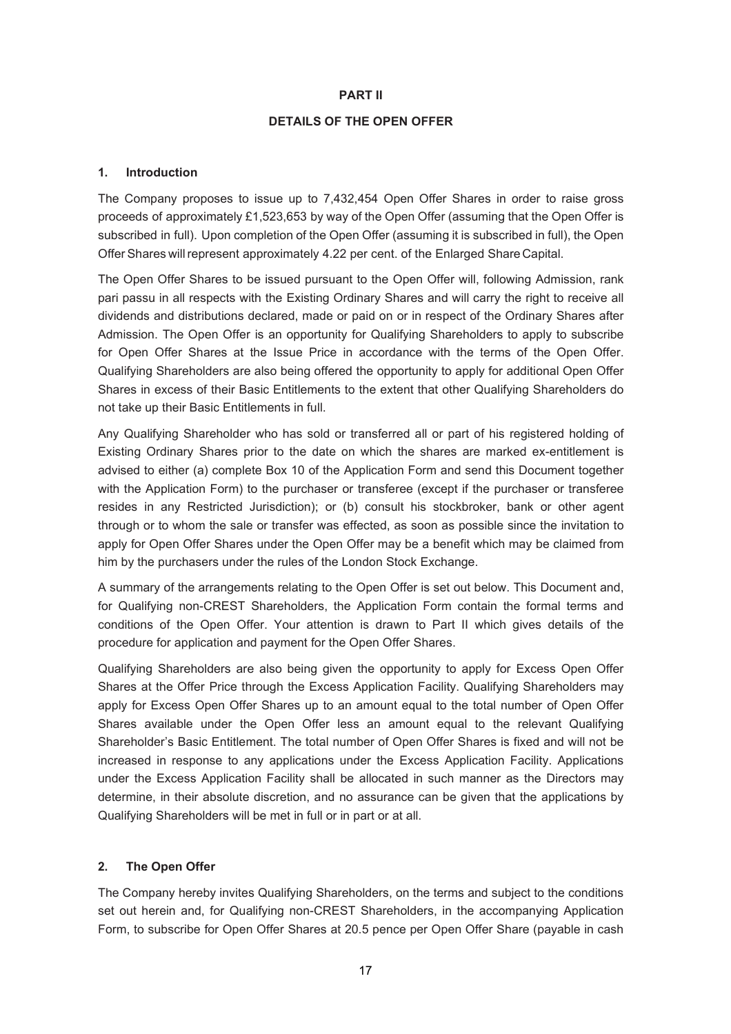#### **PART II**

## **DETAILS OF THE OPEN OFFER**

#### **1. Introduction**

The Company proposes to issue up to 7,432,454 Open Offer Shares in order to raise gross proceeds of approximately £1,523,653 by way of the Open Offer (assuming that the Open Offer is subscribed in full). Upon completion of the Open Offer (assuming it is subscribed in full), the Open Offer Shares will represent approximately 4.22 per cent. of the Enlarged Share Capital.

The Open Offer Shares to be issued pursuant to the Open Offer will, following Admission, rank pari passu in all respects with the Existing Ordinary Shares and will carry the right to receive all dividends and distributions declared, made or paid on or in respect of the Ordinary Shares after Admission. The Open Offer is an opportunity for Qualifying Shareholders to apply to subscribe for Open Offer Shares at the Issue Price in accordance with the terms of the Open Offer. Qualifying Shareholders are also being offered the opportunity to apply for additional Open Offer Shares in excess of their Basic Entitlements to the extent that other Qualifying Shareholders do not take up their Basic Entitlements in full.

Any Qualifying Shareholder who has sold or transferred all or part of his registered holding of Existing Ordinary Shares prior to the date on which the shares are marked ex-entitlement is advised to either (a) complete Box 10 of the Application Form and send this Document together with the Application Form) to the purchaser or transferee (except if the purchaser or transferee resides in any Restricted Jurisdiction); or (b) consult his stockbroker, bank or other agent through or to whom the sale or transfer was effected, as soon as possible since the invitation to apply for Open Offer Shares under the Open Offer may be a benefit which may be claimed from him by the purchasers under the rules of the London Stock Exchange.

A summary of the arrangements relating to the Open Offer is set out below. This Document and, for Qualifying non-CREST Shareholders, the Application Form contain the formal terms and conditions of the Open Offer. Your attention is drawn to Part II which gives details of the procedure for application and payment for the Open Offer Shares.

Qualifying Shareholders are also being given the opportunity to apply for Excess Open Offer Shares at the Offer Price through the Excess Application Facility. Qualifying Shareholders may apply for Excess Open Offer Shares up to an amount equal to the total number of Open Offer Shares available under the Open Offer less an amount equal to the relevant Qualifying Shareholder's Basic Entitlement. The total number of Open Offer Shares is fixed and will not be increased in response to any applications under the Excess Application Facility. Applications under the Excess Application Facility shall be allocated in such manner as the Directors may determine, in their absolute discretion, and no assurance can be given that the applications by Qualifying Shareholders will be met in full or in part or at all.

## **2. The Open Offer**

The Company hereby invites Qualifying Shareholders, on the terms and subject to the conditions set out herein and, for Qualifying non-CREST Shareholders, in the accompanying Application Form, to subscribe for Open Offer Shares at 20.5 pence per Open Offer Share (payable in cash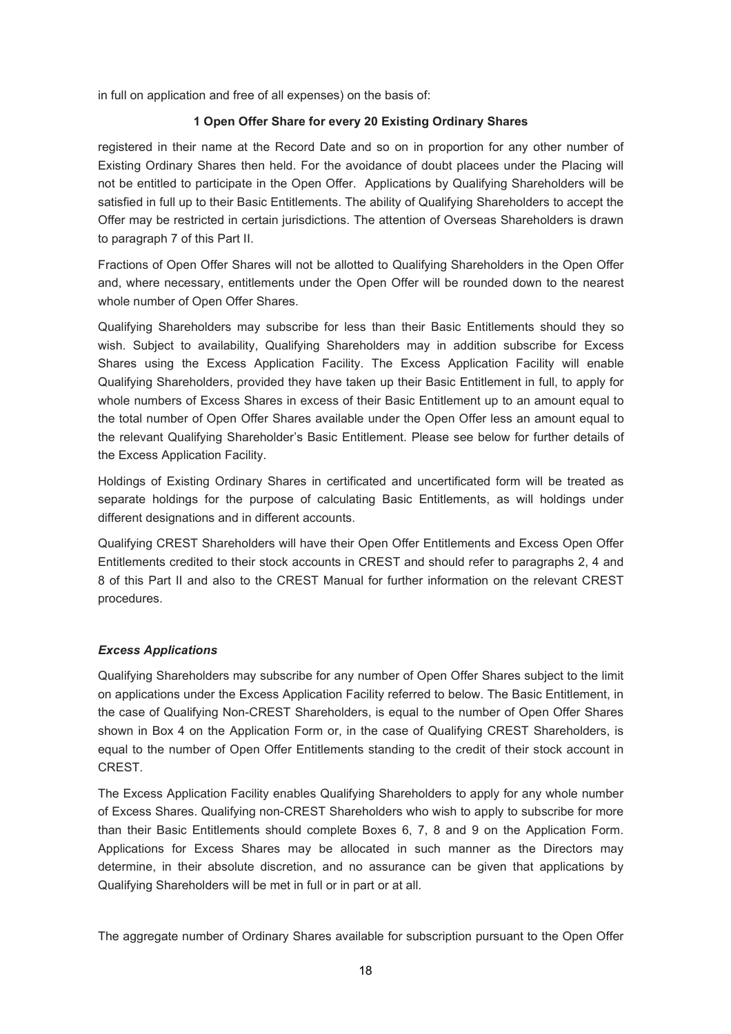in full on application and free of all expenses) on the basis of:

## **1 Open Offer Share for every 20 Existing Ordinary Shares**

registered in their name at the Record Date and so on in proportion for any other number of Existing Ordinary Shares then held. For the avoidance of doubt placees under the Placing will not be entitled to participate in the Open Offer. Applications by Qualifying Shareholders will be satisfied in full up to their Basic Entitlements. The ability of Qualifying Shareholders to accept the Offer may be restricted in certain jurisdictions. The attention of Overseas Shareholders is drawn to paragraph 7 of this Part II.

Fractions of Open Offer Shares will not be allotted to Qualifying Shareholders in the Open Offer and, where necessary, entitlements under the Open Offer will be rounded down to the nearest whole number of Open Offer Shares.

Qualifying Shareholders may subscribe for less than their Basic Entitlements should they so wish. Subject to availability, Qualifying Shareholders may in addition subscribe for Excess Shares using the Excess Application Facility. The Excess Application Facility will enable Qualifying Shareholders, provided they have taken up their Basic Entitlement in full, to apply for whole numbers of Excess Shares in excess of their Basic Entitlement up to an amount equal to the total number of Open Offer Shares available under the Open Offer less an amount equal to the relevant Qualifying Shareholder's Basic Entitlement. Please see below for further details of the Excess Application Facility.

Holdings of Existing Ordinary Shares in certificated and uncertificated form will be treated as separate holdings for the purpose of calculating Basic Entitlements, as will holdings under different designations and in different accounts.

Qualifying CREST Shareholders will have their Open Offer Entitlements and Excess Open Offer Entitlements credited to their stock accounts in CREST and should refer to paragraphs 2, 4 and 8 of this Part II and also to the CREST Manual for further information on the relevant CREST procedures.

### *Excess Applications*

Qualifying Shareholders may subscribe for any number of Open Offer Shares subject to the limit on applications under the Excess Application Facility referred to below. The Basic Entitlement, in the case of Qualifying Non-CREST Shareholders, is equal to the number of Open Offer Shares shown in Box 4 on the Application Form or, in the case of Qualifying CREST Shareholders, is equal to the number of Open Offer Entitlements standing to the credit of their stock account in CREST.

The Excess Application Facility enables Qualifying Shareholders to apply for any whole number of Excess Shares. Qualifying non-CREST Shareholders who wish to apply to subscribe for more than their Basic Entitlements should complete Boxes 6, 7, 8 and 9 on the Application Form. Applications for Excess Shares may be allocated in such manner as the Directors may determine, in their absolute discretion, and no assurance can be given that applications by Qualifying Shareholders will be met in full or in part or at all.

The aggregate number of Ordinary Shares available for subscription pursuant to the Open Offer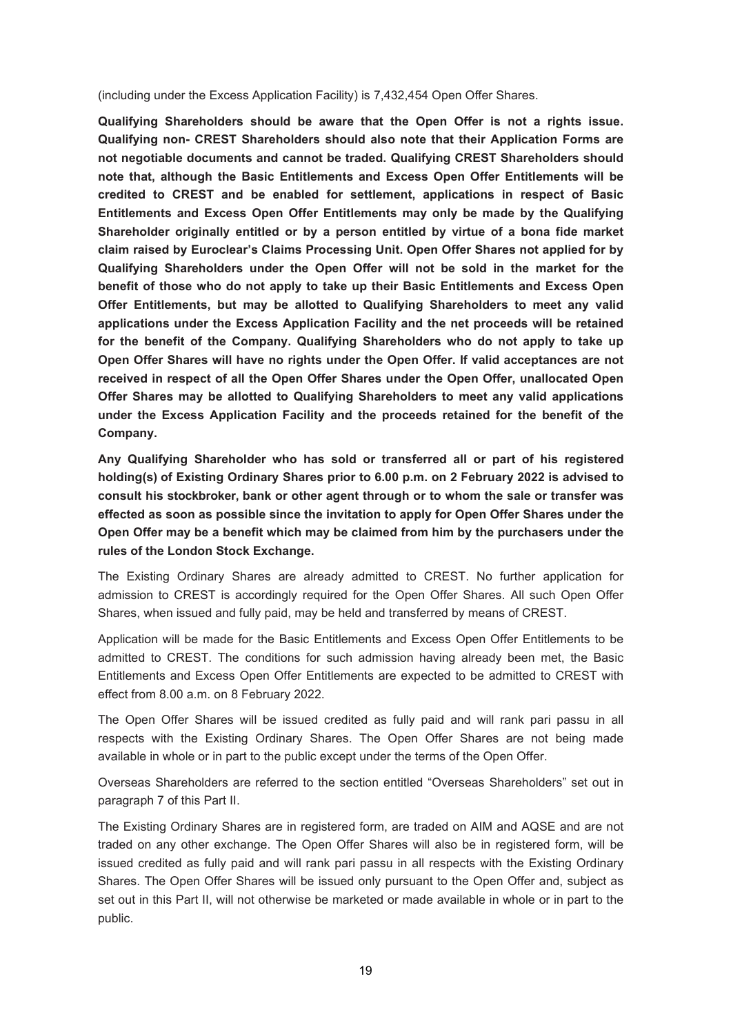(including under the Excess Application Facility) is 7,432,454 Open Offer Shares.

**Qualifying Shareholders should be aware that the Open Offer is not a rights issue. Qualifying non- CREST Shareholders should also note that their Application Forms are not negotiable documents and cannot be traded. Qualifying CREST Shareholders should note that, although the Basic Entitlements and Excess Open Offer Entitlements will be credited to CREST and be enabled for settlement, applications in respect of Basic Entitlements and Excess Open Offer Entitlements may only be made by the Qualifying Shareholder originally entitled or by a person entitled by virtue of a bona fide market claim raised by Euroclear's Claims Processing Unit. Open Offer Shares not applied for by Qualifying Shareholders under the Open Offer will not be sold in the market for the benefit of those who do not apply to take up their Basic Entitlements and Excess Open Offer Entitlements, but may be allotted to Qualifying Shareholders to meet any valid applications under the Excess Application Facility and the net proceeds will be retained for the benefit of the Company. Qualifying Shareholders who do not apply to take up Open Offer Shares will have no rights under the Open Offer. If valid acceptances are not received in respect of all the Open Offer Shares under the Open Offer, unallocated Open Offer Shares may be allotted to Qualifying Shareholders to meet any valid applications under the Excess Application Facility and the proceeds retained for the benefit of the Company.** 

**Any Qualifying Shareholder who has sold or transferred all or part of his registered holding(s) of Existing Ordinary Shares prior to 6.00 p.m. on 2 February 2022 is advised to consult his stockbroker, bank or other agent through or to whom the sale or transfer was effected as soon as possible since the invitation to apply for Open Offer Shares under the Open Offer may be a benefit which may be claimed from him by the purchasers under the rules of the London Stock Exchange.** 

The Existing Ordinary Shares are already admitted to CREST. No further application for admission to CREST is accordingly required for the Open Offer Shares. All such Open Offer Shares, when issued and fully paid, may be held and transferred by means of CREST.

Application will be made for the Basic Entitlements and Excess Open Offer Entitlements to be admitted to CREST. The conditions for such admission having already been met, the Basic Entitlements and Excess Open Offer Entitlements are expected to be admitted to CREST with effect from 8.00 a.m. on 8 February 2022.

The Open Offer Shares will be issued credited as fully paid and will rank pari passu in all respects with the Existing Ordinary Shares. The Open Offer Shares are not being made available in whole or in part to the public except under the terms of the Open Offer.

Overseas Shareholders are referred to the section entitled "Overseas Shareholders" set out in paragraph 7 of this Part II.

The Existing Ordinary Shares are in registered form, are traded on AIM and AQSE and are not traded on any other exchange. The Open Offer Shares will also be in registered form, will be issued credited as fully paid and will rank pari passu in all respects with the Existing Ordinary Shares. The Open Offer Shares will be issued only pursuant to the Open Offer and, subject as set out in this Part II, will not otherwise be marketed or made available in whole or in part to the public.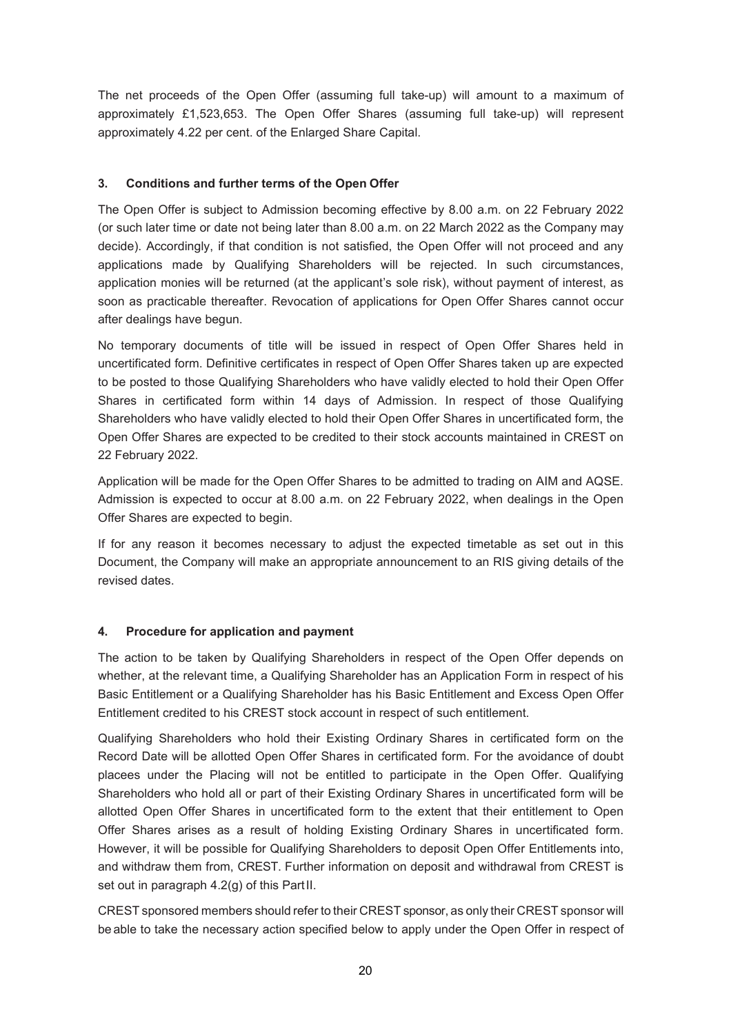The net proceeds of the Open Offer (assuming full take-up) will amount to a maximum of approximately £1,523,653. The Open Offer Shares (assuming full take-up) will represent approximately 4.22 per cent. of the Enlarged Share Capital.

## **3. Conditions and further terms of the Open Offer**

The Open Offer is subject to Admission becoming effective by 8.00 a.m. on 22 February 2022 (or such later time or date not being later than 8.00 a.m. on 22 March 2022 as the Company may decide). Accordingly, if that condition is not satisfied, the Open Offer will not proceed and any applications made by Qualifying Shareholders will be rejected. In such circumstances, application monies will be returned (at the applicant's sole risk), without payment of interest, as soon as practicable thereafter. Revocation of applications for Open Offer Shares cannot occur after dealings have begun.

No temporary documents of title will be issued in respect of Open Offer Shares held in uncertificated form. Definitive certificates in respect of Open Offer Shares taken up are expected to be posted to those Qualifying Shareholders who have validly elected to hold their Open Offer Shares in certificated form within 14 days of Admission. In respect of those Qualifying Shareholders who have validly elected to hold their Open Offer Shares in uncertificated form, the Open Offer Shares are expected to be credited to their stock accounts maintained in CREST on 22 February 2022.

Application will be made for the Open Offer Shares to be admitted to trading on AIM and AQSE. Admission is expected to occur at 8.00 a.m. on 22 February 2022, when dealings in the Open Offer Shares are expected to begin.

If for any reason it becomes necessary to adjust the expected timetable as set out in this Document, the Company will make an appropriate announcement to an RIS giving details of the revised dates.

### **4. Procedure for application and payment**

The action to be taken by Qualifying Shareholders in respect of the Open Offer depends on whether, at the relevant time, a Qualifying Shareholder has an Application Form in respect of his Basic Entitlement or a Qualifying Shareholder has his Basic Entitlement and Excess Open Offer Entitlement credited to his CREST stock account in respect of such entitlement.

Qualifying Shareholders who hold their Existing Ordinary Shares in certificated form on the Record Date will be allotted Open Offer Shares in certificated form. For the avoidance of doubt placees under the Placing will not be entitled to participate in the Open Offer. Qualifying Shareholders who hold all or part of their Existing Ordinary Shares in uncertificated form will be allotted Open Offer Shares in uncertificated form to the extent that their entitlement to Open Offer Shares arises as a result of holding Existing Ordinary Shares in uncertificated form. However, it will be possible for Qualifying Shareholders to deposit Open Offer Entitlements into, and withdraw them from, CREST. Further information on deposit and withdrawal from CREST is set out in paragraph 4.2(g) of this Part II.

CREST sponsored members should refer to their CREST sponsor, as only their CREST sponsor will be able to take the necessary action specified below to apply under the Open Offer in respect of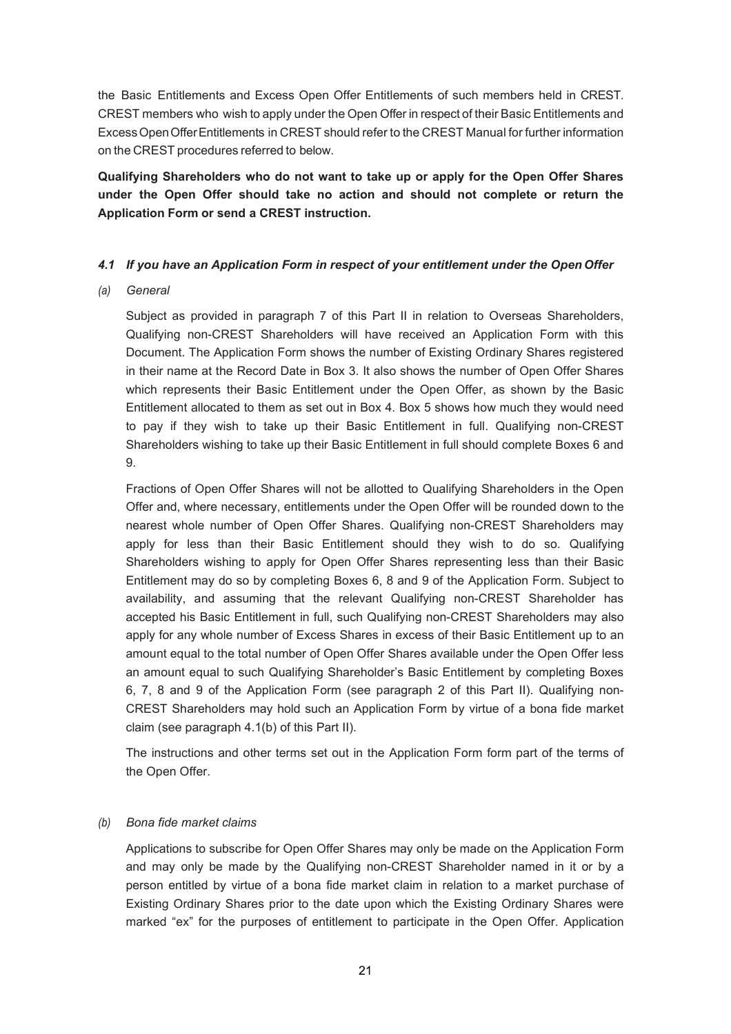the Basic Entitlements and Excess Open Offer Entitlements of such members held in CREST. CREST members who wish to apply under the Open Offer in respect of their Basic Entitlements and Excess Open Offer Entitlements in CREST should refer to the CREST Manual for further information on the CREST procedures referred to below.

**Qualifying Shareholders who do not want to take up or apply for the Open Offer Shares under the Open Offer should take no action and should not complete or return the Application Form or send a CREST instruction.** 

#### *4.1 If you have an Application Form in respect of your entitlement under the Open Offer*

*(a) General* 

Subject as provided in paragraph 7 of this Part II in relation to Overseas Shareholders, Qualifying non-CREST Shareholders will have received an Application Form with this Document. The Application Form shows the number of Existing Ordinary Shares registered in their name at the Record Date in Box 3. It also shows the number of Open Offer Shares which represents their Basic Entitlement under the Open Offer, as shown by the Basic Entitlement allocated to them as set out in Box 4. Box 5 shows how much they would need to pay if they wish to take up their Basic Entitlement in full. Qualifying non-CREST Shareholders wishing to take up their Basic Entitlement in full should complete Boxes 6 and 9.

Fractions of Open Offer Shares will not be allotted to Qualifying Shareholders in the Open Offer and, where necessary, entitlements under the Open Offer will be rounded down to the nearest whole number of Open Offer Shares. Qualifying non-CREST Shareholders may apply for less than their Basic Entitlement should they wish to do so. Qualifying Shareholders wishing to apply for Open Offer Shares representing less than their Basic Entitlement may do so by completing Boxes 6, 8 and 9 of the Application Form. Subject to availability, and assuming that the relevant Qualifying non-CREST Shareholder has accepted his Basic Entitlement in full, such Qualifying non-CREST Shareholders may also apply for any whole number of Excess Shares in excess of their Basic Entitlement up to an amount equal to the total number of Open Offer Shares available under the Open Offer less an amount equal to such Qualifying Shareholder's Basic Entitlement by completing Boxes 6, 7, 8 and 9 of the Application Form (see paragraph 2 of this Part II). Qualifying non-CREST Shareholders may hold such an Application Form by virtue of a bona fide market claim (see paragraph 4.1(b) of this Part II).

The instructions and other terms set out in the Application Form form part of the terms of the Open Offer.

### *(b) Bona fide market claims*

Applications to subscribe for Open Offer Shares may only be made on the Application Form and may only be made by the Qualifying non-CREST Shareholder named in it or by a person entitled by virtue of a bona fide market claim in relation to a market purchase of Existing Ordinary Shares prior to the date upon which the Existing Ordinary Shares were marked "ex" for the purposes of entitlement to participate in the Open Offer. Application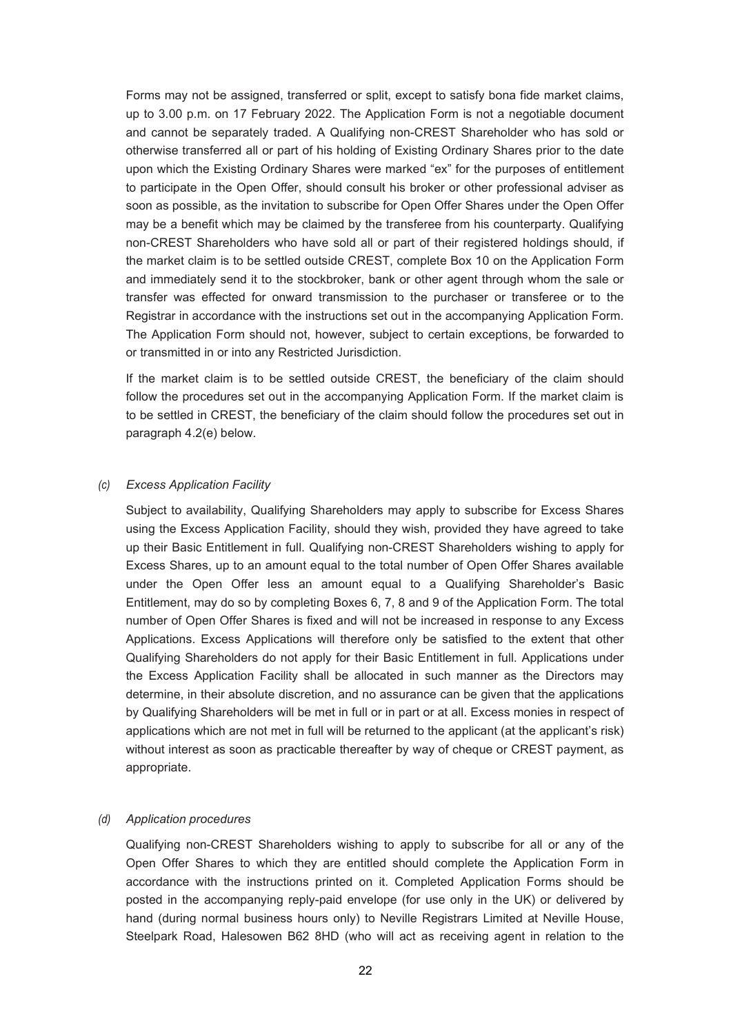Forms may not be assigned, transferred or split, except to satisfy bona fide market claims, up to 3.00 p.m. on 17 February 2022. The Application Form is not a negotiable document and cannot be separately traded. A Qualifying non-CREST Shareholder who has sold or otherwise transferred all or part of his holding of Existing Ordinary Shares prior to the date upon which the Existing Ordinary Shares were marked "ex" for the purposes of entitlement to participate in the Open Offer, should consult his broker or other professional adviser as soon as possible, as the invitation to subscribe for Open Offer Shares under the Open Offer may be a benefit which may be claimed by the transferee from his counterparty. Qualifying non-CREST Shareholders who have sold all or part of their registered holdings should, if the market claim is to be settled outside CREST, complete Box 10 on the Application Form and immediately send it to the stockbroker, bank or other agent through whom the sale or transfer was effected for onward transmission to the purchaser or transferee or to the Registrar in accordance with the instructions set out in the accompanying Application Form. The Application Form should not, however, subject to certain exceptions, be forwarded to or transmitted in or into any Restricted Jurisdiction.

If the market claim is to be settled outside CREST, the beneficiary of the claim should follow the procedures set out in the accompanying Application Form. If the market claim is to be settled in CREST, the beneficiary of the claim should follow the procedures set out in paragraph 4.2(e) below.

#### *(c) Excess Application Facility*

Subject to availability, Qualifying Shareholders may apply to subscribe for Excess Shares using the Excess Application Facility, should they wish, provided they have agreed to take up their Basic Entitlement in full. Qualifying non-CREST Shareholders wishing to apply for Excess Shares, up to an amount equal to the total number of Open Offer Shares available under the Open Offer less an amount equal to a Qualifying Shareholder's Basic Entitlement, may do so by completing Boxes 6, 7, 8 and 9 of the Application Form. The total number of Open Offer Shares is fixed and will not be increased in response to any Excess Applications. Excess Applications will therefore only be satisfied to the extent that other Qualifying Shareholders do not apply for their Basic Entitlement in full. Applications under the Excess Application Facility shall be allocated in such manner as the Directors may determine, in their absolute discretion, and no assurance can be given that the applications by Qualifying Shareholders will be met in full or in part or at all. Excess monies in respect of applications which are not met in full will be returned to the applicant (at the applicant's risk) without interest as soon as practicable thereafter by way of cheque or CREST payment, as appropriate.

#### *(d) Application procedures*

Qualifying non-CREST Shareholders wishing to apply to subscribe for all or any of the Open Offer Shares to which they are entitled should complete the Application Form in accordance with the instructions printed on it. Completed Application Forms should be posted in the accompanying reply-paid envelope (for use only in the UK) or delivered by hand (during normal business hours only) to Neville Registrars Limited at Neville House, Steelpark Road, Halesowen B62 8HD (who will act as receiving agent in relation to the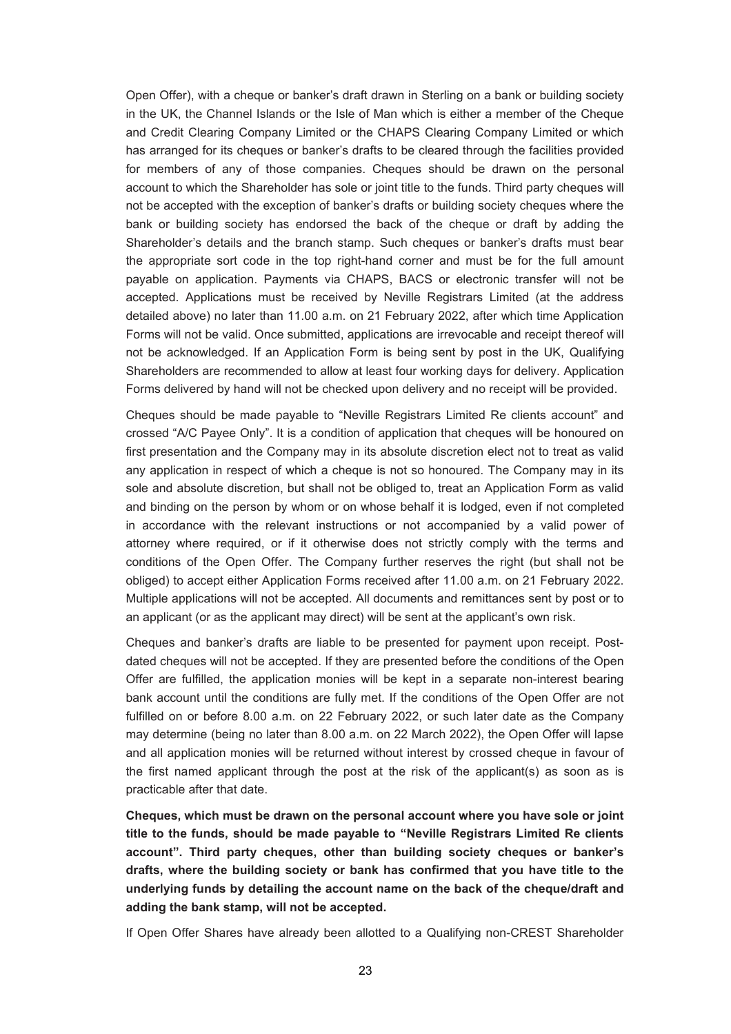Open Offer), with a cheque or banker's draft drawn in Sterling on a bank or building society in the UK, the Channel Islands or the Isle of Man which is either a member of the Cheque and Credit Clearing Company Limited or the CHAPS Clearing Company Limited or which has arranged for its cheques or banker's drafts to be cleared through the facilities provided for members of any of those companies. Cheques should be drawn on the personal account to which the Shareholder has sole or joint title to the funds. Third party cheques will not be accepted with the exception of banker's drafts or building society cheques where the bank or building society has endorsed the back of the cheque or draft by adding the Shareholder's details and the branch stamp. Such cheques or banker's drafts must bear the appropriate sort code in the top right-hand corner and must be for the full amount payable on application. Payments via CHAPS, BACS or electronic transfer will not be accepted. Applications must be received by Neville Registrars Limited (at the address detailed above) no later than 11.00 a.m. on 21 February 2022, after which time Application Forms will not be valid. Once submitted, applications are irrevocable and receipt thereof will not be acknowledged. If an Application Form is being sent by post in the UK, Qualifying Shareholders are recommended to allow at least four working days for delivery. Application Forms delivered by hand will not be checked upon delivery and no receipt will be provided.

Cheques should be made payable to "Neville Registrars Limited Re clients account" and crossed "A/C Payee Only". It is a condition of application that cheques will be honoured on first presentation and the Company may in its absolute discretion elect not to treat as valid any application in respect of which a cheque is not so honoured. The Company may in its sole and absolute discretion, but shall not be obliged to, treat an Application Form as valid and binding on the person by whom or on whose behalf it is lodged, even if not completed in accordance with the relevant instructions or not accompanied by a valid power of attorney where required, or if it otherwise does not strictly comply with the terms and conditions of the Open Offer. The Company further reserves the right (but shall not be obliged) to accept either Application Forms received after 11.00 a.m. on 21 February 2022. Multiple applications will not be accepted. All documents and remittances sent by post or to an applicant (or as the applicant may direct) will be sent at the applicant's own risk.

Cheques and banker's drafts are liable to be presented for payment upon receipt. Postdated cheques will not be accepted. If they are presented before the conditions of the Open Offer are fulfilled, the application monies will be kept in a separate non-interest bearing bank account until the conditions are fully met. If the conditions of the Open Offer are not fulfilled on or before 8.00 a.m. on 22 February 2022, or such later date as the Company may determine (being no later than 8.00 a.m. on 22 March 2022), the Open Offer will lapse and all application monies will be returned without interest by crossed cheque in favour of the first named applicant through the post at the risk of the applicant(s) as soon as is practicable after that date.

**Cheques, which must be drawn on the personal account where you have sole or joint title to the funds, should be made payable to "Neville Registrars Limited Re clients account". Third party cheques, other than building society cheques or banker's drafts, where the building society or bank has confirmed that you have title to the underlying funds by detailing the account name on the back of the cheque/draft and adding the bank stamp, will not be accepted.** 

If Open Offer Shares have already been allotted to a Qualifying non-CREST Shareholder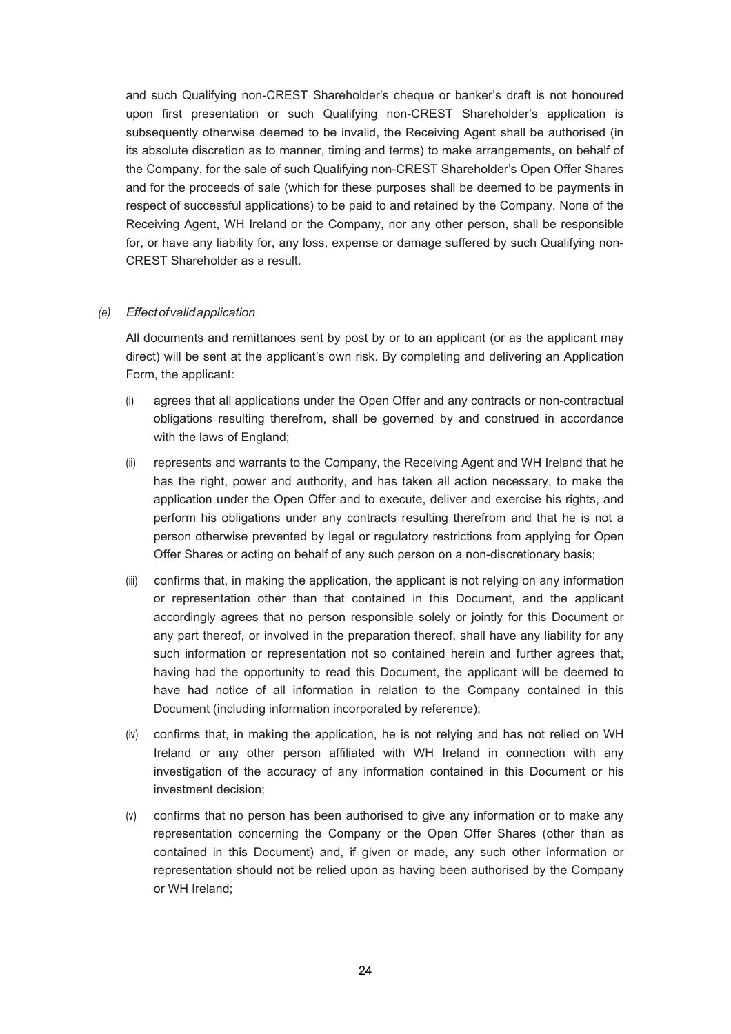and such Qualifying non-CREST Shareholder's cheque or banker's draft is not honoured upon first presentation or such Qualifying non-CREST Shareholder's application is subsequently otherwise deemed to be invalid, the Receiving Agent shall be authorised (in its absolute discretion as to manner, timing and terms) to make arrangements, on behalf of the Company, for the sale of such Qualifying non-CREST Shareholder's Open Offer Shares and for the proceeds of sale (which for these purposes shall be deemed to be payments in respect of successful applications) to be paid to and retained by the Company. None of the Receiving Agent, WH Ireland or the Company, nor any other person, shall be responsible for, or have any liability for, any loss, expense or damage suffered by such Qualifying non-CREST Shareholder as a result.

### *(e) Effect of valid application*

All documents and remittances sent by post by or to an applicant (or as the applicant may direct) will be sent at the applicant's own risk. By completing and delivering an Application Form, the applicant:

- (i) agrees that all applications under the Open Offer and any contracts or non-contractual obligations resulting therefrom, shall be governed by and construed in accordance with the laws of England;
- (ii) represents and warrants to the Company, the Receiving Agent and WH Ireland that he has the right, power and authority, and has taken all action necessary, to make the application under the Open Offer and to execute, deliver and exercise his rights, and perform his obligations under any contracts resulting therefrom and that he is not a person otherwise prevented by legal or regulatory restrictions from applying for Open Offer Shares or acting on behalf of any such person on a non-discretionary basis;
- (iii) confirms that, in making the application, the applicant is not relying on any information or representation other than that contained in this Document, and the applicant accordingly agrees that no person responsible solely or jointly for this Document or any part thereof, or involved in the preparation thereof, shall have any liability for any such information or representation not so contained herein and further agrees that, having had the opportunity to read this Document, the applicant will be deemed to have had notice of all information in relation to the Company contained in this Document (including information incorporated by reference);
- (iv) confirms that, in making the application, he is not relying and has not relied on WH Ireland or any other person affiliated with WH Ireland in connection with any investigation of the accuracy of any information contained in this Document or his investment decision;
- (v) confirms that no person has been authorised to give any information or to make any representation concerning the Company or the Open Offer Shares (other than as contained in this Document) and, if given or made, any such other information or representation should not be relied upon as having been authorised by the Company or WH Ireland;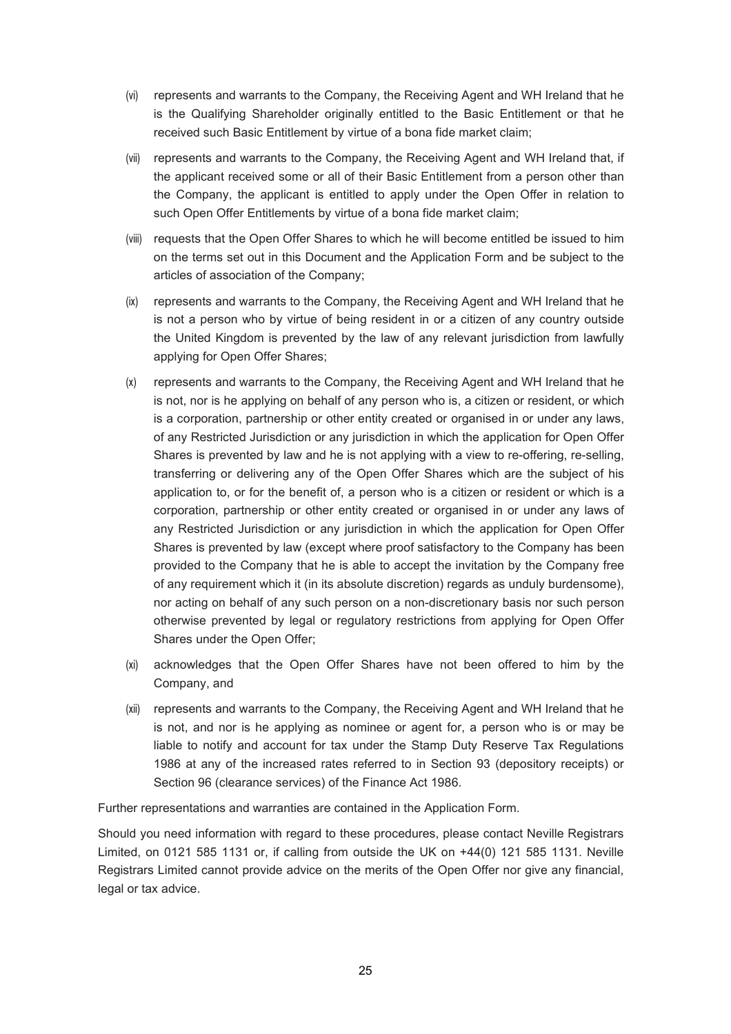- (vi) represents and warrants to the Company, the Receiving Agent and WH Ireland that he is the Qualifying Shareholder originally entitled to the Basic Entitlement or that he received such Basic Entitlement by virtue of a bona fide market claim;
- (vii) represents and warrants to the Company, the Receiving Agent and WH Ireland that, if the applicant received some or all of their Basic Entitlement from a person other than the Company, the applicant is entitled to apply under the Open Offer in relation to such Open Offer Entitlements by virtue of a bona fide market claim;
- (viii) requests that the Open Offer Shares to which he will become entitled be issued to him on the terms set out in this Document and the Application Form and be subject to the articles of association of the Company;
- (ix) represents and warrants to the Company, the Receiving Agent and WH Ireland that he is not a person who by virtue of being resident in or a citizen of any country outside the United Kingdom is prevented by the law of any relevant jurisdiction from lawfully applying for Open Offer Shares;
- (x) represents and warrants to the Company, the Receiving Agent and WH Ireland that he is not, nor is he applying on behalf of any person who is, a citizen or resident, or which is a corporation, partnership or other entity created or organised in or under any laws, of any Restricted Jurisdiction or any jurisdiction in which the application for Open Offer Shares is prevented by law and he is not applying with a view to re-offering, re-selling, transferring or delivering any of the Open Offer Shares which are the subject of his application to, or for the benefit of, a person who is a citizen or resident or which is a corporation, partnership or other entity created or organised in or under any laws of any Restricted Jurisdiction or any jurisdiction in which the application for Open Offer Shares is prevented by law (except where proof satisfactory to the Company has been provided to the Company that he is able to accept the invitation by the Company free of any requirement which it (in its absolute discretion) regards as unduly burdensome), nor acting on behalf of any such person on a non-discretionary basis nor such person otherwise prevented by legal or regulatory restrictions from applying for Open Offer Shares under the Open Offer;
- (xi) acknowledges that the Open Offer Shares have not been offered to him by the Company, and
- (xii) represents and warrants to the Company, the Receiving Agent and WH Ireland that he is not, and nor is he applying as nominee or agent for, a person who is or may be liable to notify and account for tax under the Stamp Duty Reserve Tax Regulations 1986 at any of the increased rates referred to in Section 93 (depository receipts) or Section 96 (clearance services) of the Finance Act 1986.

Further representations and warranties are contained in the Application Form.

Should you need information with regard to these procedures, please contact Neville Registrars Limited, on 0121 585 1131 or, if calling from outside the UK on +44(0) 121 585 1131. Neville Registrars Limited cannot provide advice on the merits of the Open Offer nor give any financial, legal or tax advice.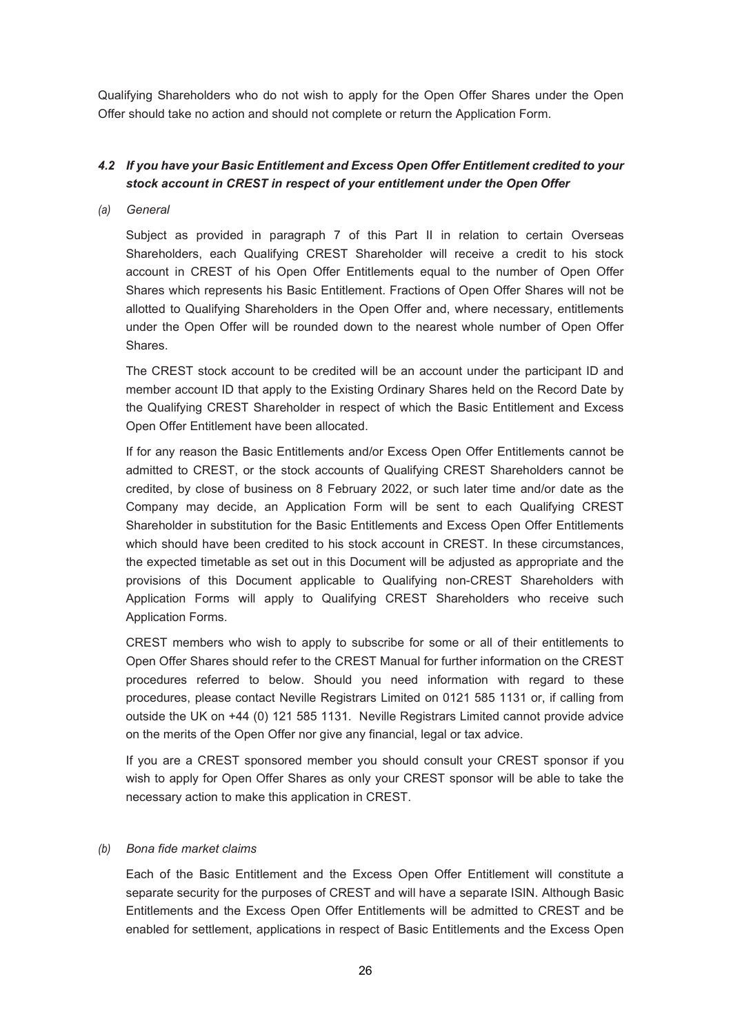Qualifying Shareholders who do not wish to apply for the Open Offer Shares under the Open Offer should take no action and should not complete or return the Application Form.

# *4.2 If you have your Basic Entitlement and Excess Open Offer Entitlement credited to your stock account in CREST in respect of your entitlement under the Open Offer*

#### *(a) General*

Subject as provided in paragraph 7 of this Part II in relation to certain Overseas Shareholders, each Qualifying CREST Shareholder will receive a credit to his stock account in CREST of his Open Offer Entitlements equal to the number of Open Offer Shares which represents his Basic Entitlement. Fractions of Open Offer Shares will not be allotted to Qualifying Shareholders in the Open Offer and, where necessary, entitlements under the Open Offer will be rounded down to the nearest whole number of Open Offer **Shares** 

The CREST stock account to be credited will be an account under the participant ID and member account ID that apply to the Existing Ordinary Shares held on the Record Date by the Qualifying CREST Shareholder in respect of which the Basic Entitlement and Excess Open Offer Entitlement have been allocated.

If for any reason the Basic Entitlements and/or Excess Open Offer Entitlements cannot be admitted to CREST, or the stock accounts of Qualifying CREST Shareholders cannot be credited, by close of business on 8 February 2022, or such later time and/or date as the Company may decide, an Application Form will be sent to each Qualifying CREST Shareholder in substitution for the Basic Entitlements and Excess Open Offer Entitlements which should have been credited to his stock account in CREST. In these circumstances, the expected timetable as set out in this Document will be adjusted as appropriate and the provisions of this Document applicable to Qualifying non-CREST Shareholders with Application Forms will apply to Qualifying CREST Shareholders who receive such Application Forms.

CREST members who wish to apply to subscribe for some or all of their entitlements to Open Offer Shares should refer to the CREST Manual for further information on the CREST procedures referred to below. Should you need information with regard to these procedures, please contact Neville Registrars Limited on 0121 585 1131 or, if calling from outside the UK on +44 (0) 121 585 1131. Neville Registrars Limited cannot provide advice on the merits of the Open Offer nor give any financial, legal or tax advice.

If you are a CREST sponsored member you should consult your CREST sponsor if you wish to apply for Open Offer Shares as only your CREST sponsor will be able to take the necessary action to make this application in CREST.

### *(b) Bona fide market claims*

Each of the Basic Entitlement and the Excess Open Offer Entitlement will constitute a separate security for the purposes of CREST and will have a separate ISIN. Although Basic Entitlements and the Excess Open Offer Entitlements will be admitted to CREST and be enabled for settlement, applications in respect of Basic Entitlements and the Excess Open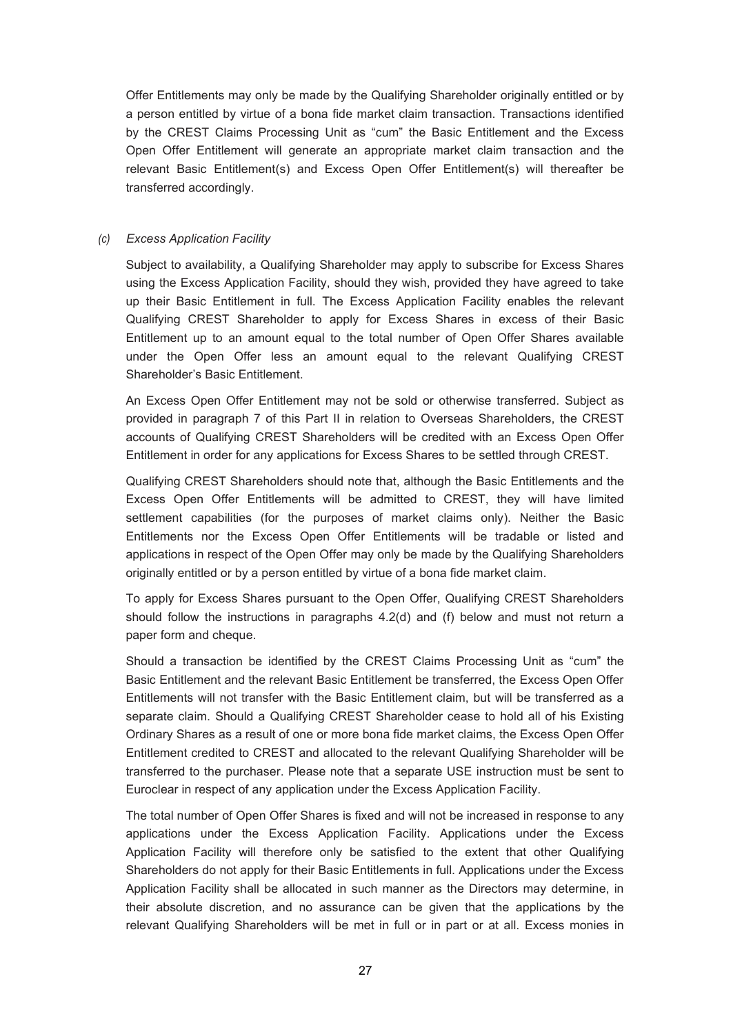Offer Entitlements may only be made by the Qualifying Shareholder originally entitled or by a person entitled by virtue of a bona fide market claim transaction. Transactions identified by the CREST Claims Processing Unit as "cum" the Basic Entitlement and the Excess Open Offer Entitlement will generate an appropriate market claim transaction and the relevant Basic Entitlement(s) and Excess Open Offer Entitlement(s) will thereafter be transferred accordingly.

#### *(c) Excess Application Facility*

Subject to availability, a Qualifying Shareholder may apply to subscribe for Excess Shares using the Excess Application Facility, should they wish, provided they have agreed to take up their Basic Entitlement in full. The Excess Application Facility enables the relevant Qualifying CREST Shareholder to apply for Excess Shares in excess of their Basic Entitlement up to an amount equal to the total number of Open Offer Shares available under the Open Offer less an amount equal to the relevant Qualifying CREST Shareholder's Basic Entitlement.

An Excess Open Offer Entitlement may not be sold or otherwise transferred. Subject as provided in paragraph 7 of this Part II in relation to Overseas Shareholders, the CREST accounts of Qualifying CREST Shareholders will be credited with an Excess Open Offer Entitlement in order for any applications for Excess Shares to be settled through CREST.

Qualifying CREST Shareholders should note that, although the Basic Entitlements and the Excess Open Offer Entitlements will be admitted to CREST, they will have limited settlement capabilities (for the purposes of market claims only). Neither the Basic Entitlements nor the Excess Open Offer Entitlements will be tradable or listed and applications in respect of the Open Offer may only be made by the Qualifying Shareholders originally entitled or by a person entitled by virtue of a bona fide market claim.

To apply for Excess Shares pursuant to the Open Offer, Qualifying CREST Shareholders should follow the instructions in paragraphs 4.2(d) and (f) below and must not return a paper form and cheque.

Should a transaction be identified by the CREST Claims Processing Unit as "cum" the Basic Entitlement and the relevant Basic Entitlement be transferred, the Excess Open Offer Entitlements will not transfer with the Basic Entitlement claim, but will be transferred as a separate claim. Should a Qualifying CREST Shareholder cease to hold all of his Existing Ordinary Shares as a result of one or more bona fide market claims, the Excess Open Offer Entitlement credited to CREST and allocated to the relevant Qualifying Shareholder will be transferred to the purchaser. Please note that a separate USE instruction must be sent to Euroclear in respect of any application under the Excess Application Facility.

The total number of Open Offer Shares is fixed and will not be increased in response to any applications under the Excess Application Facility. Applications under the Excess Application Facility will therefore only be satisfied to the extent that other Qualifying Shareholders do not apply for their Basic Entitlements in full. Applications under the Excess Application Facility shall be allocated in such manner as the Directors may determine, in their absolute discretion, and no assurance can be given that the applications by the relevant Qualifying Shareholders will be met in full or in part or at all. Excess monies in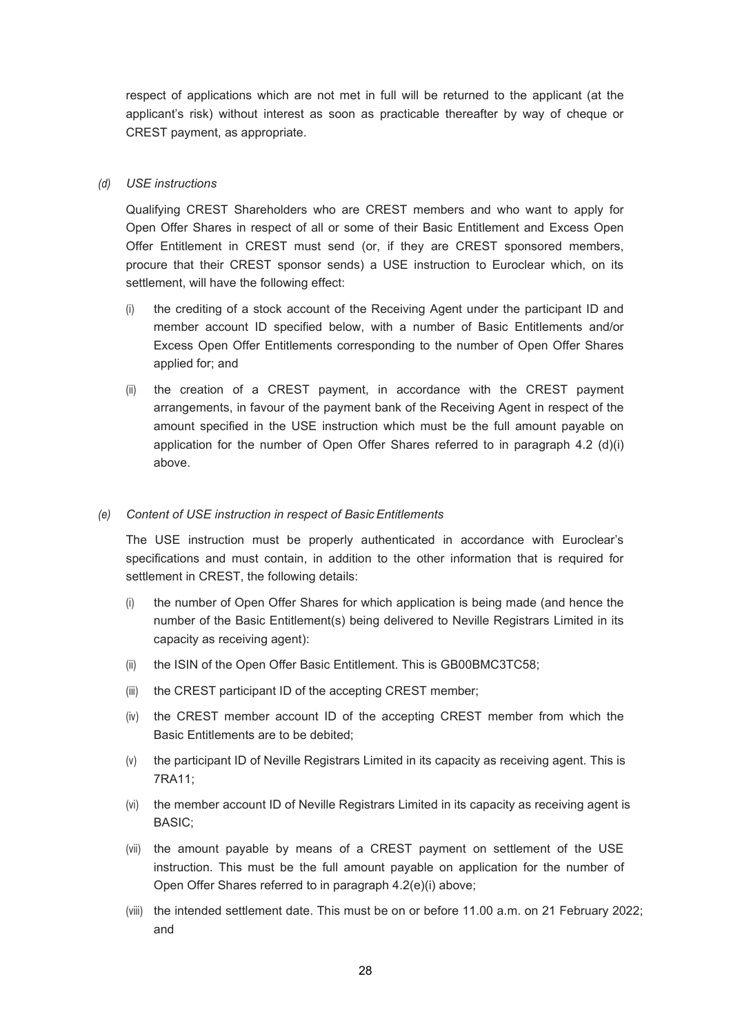respect of applications which are not met in full will be returned to the applicant (at the applicant's risk) without interest as soon as practicable thereafter by way of cheque or CREST payment, as appropriate.

## *(d) USE instructions*

Qualifying CREST Shareholders who are CREST members and who want to apply for Open Offer Shares in respect of all or some of their Basic Entitlement and Excess Open Offer Entitlement in CREST must send (or, if they are CREST sponsored members, procure that their CREST sponsor sends) a USE instruction to Euroclear which, on its settlement, will have the following effect:

- (i) the crediting of a stock account of the Receiving Agent under the participant ID and member account ID specified below, with a number of Basic Entitlements and/or Excess Open Offer Entitlements corresponding to the number of Open Offer Shares applied for; and
- (ii) the creation of a CREST payment, in accordance with the CREST payment arrangements, in favour of the payment bank of the Receiving Agent in respect of the amount specified in the USE instruction which must be the full amount payable on application for the number of Open Offer Shares referred to in paragraph  $4.2$  (d)(i) above.

#### *(e) Content of USE instruction in respect of Basic Entitlements*

The USE instruction must be properly authenticated in accordance with Euroclear's specifications and must contain, in addition to the other information that is required for settlement in CREST, the following details:

- (i) the number of Open Offer Shares for which application is being made (and hence the number of the Basic Entitlement(s) being delivered to Neville Registrars Limited in its capacity as receiving agent):
- (ii) the ISIN of the Open Offer Basic Entitlement. This is GB00BMC3TC58;
- (iii) the CREST participant ID of the accepting CREST member;
- (iv) the CREST member account ID of the accepting CREST member from which the Basic Entitlements are to be debited;
- (v) the participant ID of Neville Registrars Limited in its capacity as receiving agent. This is 7RA11;
- (vi) the member account ID of Neville Registrars Limited in its capacity as receiving agent is BASIC;
- (vii) the amount payable by means of a CREST payment on settlement of the USE instruction. This must be the full amount payable on application for the number of Open Offer Shares referred to in paragraph 4.2(e)(i) above;
- (viii) the intended settlement date. This must be on or before 11.00 a.m. on 21 February 2022; and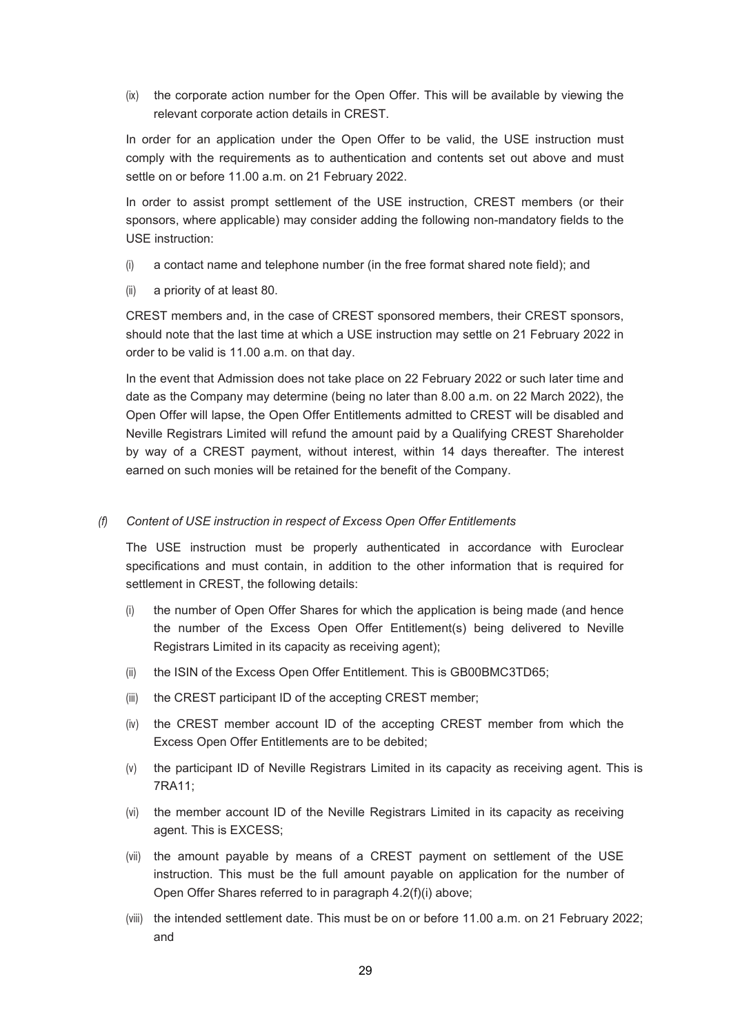(ix) the corporate action number for the Open Offer. This will be available by viewing the relevant corporate action details in CREST.

In order for an application under the Open Offer to be valid, the USE instruction must comply with the requirements as to authentication and contents set out above and must settle on or before 11.00 a.m. on 21 February 2022.

In order to assist prompt settlement of the USE instruction, CREST members (or their sponsors, where applicable) may consider adding the following non-mandatory fields to the USE instruction:

- (i) a contact name and telephone number (in the free format shared note field); and
- (ii) a priority of at least 80.

CREST members and, in the case of CREST sponsored members, their CREST sponsors, should note that the last time at which a USE instruction may settle on 21 February 2022 in order to be valid is 11.00 a.m. on that day.

In the event that Admission does not take place on 22 February 2022 or such later time and date as the Company may determine (being no later than 8.00 a.m. on 22 March 2022), the Open Offer will lapse, the Open Offer Entitlements admitted to CREST will be disabled and Neville Registrars Limited will refund the amount paid by a Qualifying CREST Shareholder by way of a CREST payment, without interest, within 14 days thereafter. The interest earned on such monies will be retained for the benefit of the Company.

#### *(f) Content of USE instruction in respect of Excess Open Offer Entitlements*

The USE instruction must be properly authenticated in accordance with Euroclear specifications and must contain, in addition to the other information that is required for settlement in CREST, the following details:

- (i) the number of Open Offer Shares for which the application is being made (and hence the number of the Excess Open Offer Entitlement(s) being delivered to Neville Registrars Limited in its capacity as receiving agent);
- (ii) the ISIN of the Excess Open Offer Entitlement. This is GB00BMC3TD65;
- (iii) the CREST participant ID of the accepting CREST member;
- (iv) the CREST member account ID of the accepting CREST member from which the Excess Open Offer Entitlements are to be debited;
- (v) the participant ID of Neville Registrars Limited in its capacity as receiving agent. This is 7RA11;
- (vi) the member account ID of the Neville Registrars Limited in its capacity as receiving agent. This is EXCESS;
- (vii) the amount payable by means of a CREST payment on settlement of the USE instruction. This must be the full amount payable on application for the number of Open Offer Shares referred to in paragraph 4.2(f)(i) above;
- (viii) the intended settlement date. This must be on or before 11.00 a.m. on 21 February 2022; and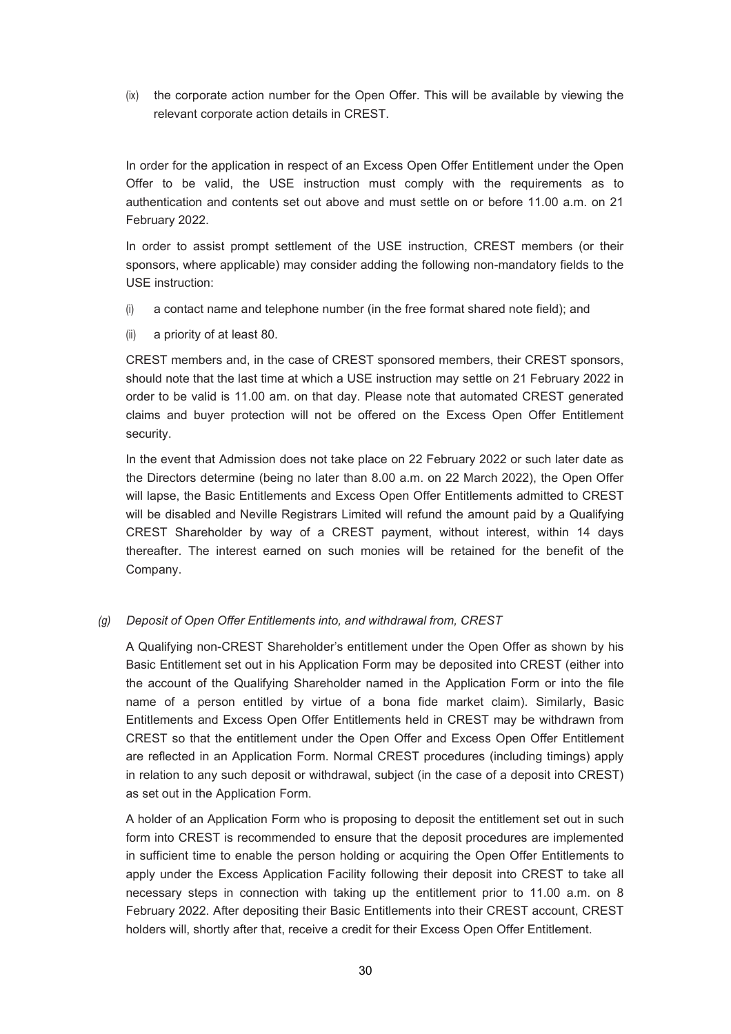(ix) the corporate action number for the Open Offer. This will be available by viewing the relevant corporate action details in CREST.

In order for the application in respect of an Excess Open Offer Entitlement under the Open Offer to be valid, the USE instruction must comply with the requirements as to authentication and contents set out above and must settle on or before 11.00 a.m. on 21 February 2022.

In order to assist prompt settlement of the USE instruction, CREST members (or their sponsors, where applicable) may consider adding the following non-mandatory fields to the USE instruction:

- (i) a contact name and telephone number (in the free format shared note field); and
- (ii) a priority of at least 80.

CREST members and, in the case of CREST sponsored members, their CREST sponsors, should note that the last time at which a USE instruction may settle on 21 February 2022 in order to be valid is 11.00 am. on that day. Please note that automated CREST generated claims and buyer protection will not be offered on the Excess Open Offer Entitlement security.

In the event that Admission does not take place on 22 February 2022 or such later date as the Directors determine (being no later than 8.00 a.m. on 22 March 2022), the Open Offer will lapse, the Basic Entitlements and Excess Open Offer Entitlements admitted to CREST will be disabled and Neville Registrars Limited will refund the amount paid by a Qualifying CREST Shareholder by way of a CREST payment, without interest, within 14 days thereafter. The interest earned on such monies will be retained for the benefit of the Company.

### *(g) Deposit of Open Offer Entitlements into, and withdrawal from, CREST*

A Qualifying non-CREST Shareholder's entitlement under the Open Offer as shown by his Basic Entitlement set out in his Application Form may be deposited into CREST (either into the account of the Qualifying Shareholder named in the Application Form or into the file name of a person entitled by virtue of a bona fide market claim). Similarly, Basic Entitlements and Excess Open Offer Entitlements held in CREST may be withdrawn from CREST so that the entitlement under the Open Offer and Excess Open Offer Entitlement are reflected in an Application Form. Normal CREST procedures (including timings) apply in relation to any such deposit or withdrawal, subject (in the case of a deposit into CREST) as set out in the Application Form.

A holder of an Application Form who is proposing to deposit the entitlement set out in such form into CREST is recommended to ensure that the deposit procedures are implemented in sufficient time to enable the person holding or acquiring the Open Offer Entitlements to apply under the Excess Application Facility following their deposit into CREST to take all necessary steps in connection with taking up the entitlement prior to 11.00 a.m. on 8 February 2022. After depositing their Basic Entitlements into their CREST account, CREST holders will, shortly after that, receive a credit for their Excess Open Offer Entitlement.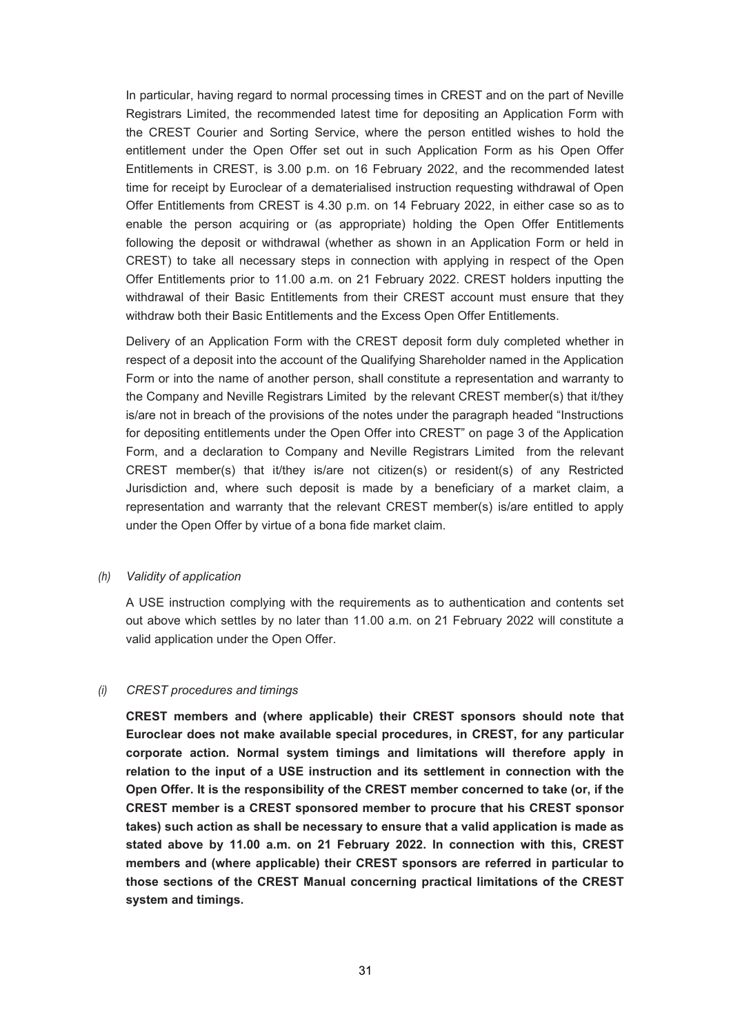In particular, having regard to normal processing times in CREST and on the part of Neville Registrars Limited, the recommended latest time for depositing an Application Form with the CREST Courier and Sorting Service, where the person entitled wishes to hold the entitlement under the Open Offer set out in such Application Form as his Open Offer Entitlements in CREST, is 3.00 p.m. on 16 February 2022, and the recommended latest time for receipt by Euroclear of a dematerialised instruction requesting withdrawal of Open Offer Entitlements from CREST is 4.30 p.m. on 14 February 2022, in either case so as to enable the person acquiring or (as appropriate) holding the Open Offer Entitlements following the deposit or withdrawal (whether as shown in an Application Form or held in CREST) to take all necessary steps in connection with applying in respect of the Open Offer Entitlements prior to 11.00 a.m. on 21 February 2022. CREST holders inputting the withdrawal of their Basic Entitlements from their CREST account must ensure that they withdraw both their Basic Entitlements and the Excess Open Offer Entitlements.

Delivery of an Application Form with the CREST deposit form duly completed whether in respect of a deposit into the account of the Qualifying Shareholder named in the Application Form or into the name of another person, shall constitute a representation and warranty to the Company and Neville Registrars Limited by the relevant CREST member(s) that it/they is/are not in breach of the provisions of the notes under the paragraph headed "Instructions for depositing entitlements under the Open Offer into CREST" on page 3 of the Application Form, and a declaration to Company and Neville Registrars Limited from the relevant CREST member(s) that it/they is/are not citizen(s) or resident(s) of any Restricted Jurisdiction and, where such deposit is made by a beneficiary of a market claim, a representation and warranty that the relevant CREST member(s) is/are entitled to apply under the Open Offer by virtue of a bona fide market claim.

#### *(h) Validity of application*

A USE instruction complying with the requirements as to authentication and contents set out above which settles by no later than 11.00 a.m. on 21 February 2022 will constitute a valid application under the Open Offer.

### *(i) CREST procedures and timings*

**CREST members and (where applicable) their CREST sponsors should note that Euroclear does not make available special procedures, in CREST, for any particular corporate action. Normal system timings and limitations will therefore apply in relation to the input of a USE instruction and its settlement in connection with the Open Offer. It is the responsibility of the CREST member concerned to take (or, if the CREST member is a CREST sponsored member to procure that his CREST sponsor takes) such action as shall be necessary to ensure that a valid application is made as stated above by 11.00 a.m. on 21 February 2022. In connection with this, CREST members and (where applicable) their CREST sponsors are referred in particular to those sections of the CREST Manual concerning practical limitations of the CREST system and timings.**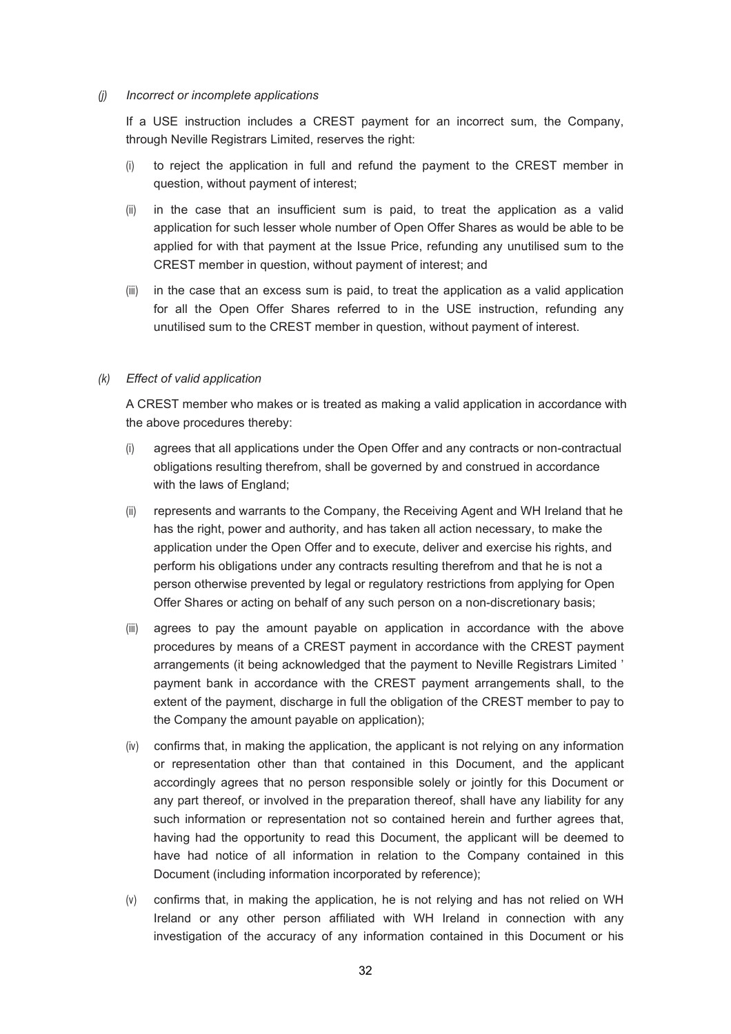#### *(j) Incorrect or incomplete applications*

If a USE instruction includes a CREST payment for an incorrect sum, the Company, through Neville Registrars Limited, reserves the right:

- (i) to reject the application in full and refund the payment to the CREST member in question, without payment of interest;
- (ii) in the case that an insufficient sum is paid, to treat the application as a valid application for such lesser whole number of Open Offer Shares as would be able to be applied for with that payment at the Issue Price, refunding any unutilised sum to the CREST member in question, without payment of interest; and
- (iii) in the case that an excess sum is paid, to treat the application as a valid application for all the Open Offer Shares referred to in the USE instruction, refunding any unutilised sum to the CREST member in question, without payment of interest.

#### *(k) Effect of valid application*

A CREST member who makes or is treated as making a valid application in accordance with the above procedures thereby:

- (i) agrees that all applications under the Open Offer and any contracts or non-contractual obligations resulting therefrom, shall be governed by and construed in accordance with the laws of England;
- (ii) represents and warrants to the Company, the Receiving Agent and WH Ireland that he has the right, power and authority, and has taken all action necessary, to make the application under the Open Offer and to execute, deliver and exercise his rights, and perform his obligations under any contracts resulting therefrom and that he is not a person otherwise prevented by legal or regulatory restrictions from applying for Open Offer Shares or acting on behalf of any such person on a non-discretionary basis;
- (iii) agrees to pay the amount payable on application in accordance with the above procedures by means of a CREST payment in accordance with the CREST payment arrangements (it being acknowledged that the payment to Neville Registrars Limited ' payment bank in accordance with the CREST payment arrangements shall, to the extent of the payment, discharge in full the obligation of the CREST member to pay to the Company the amount payable on application);
- (iv) confirms that, in making the application, the applicant is not relying on any information or representation other than that contained in this Document, and the applicant accordingly agrees that no person responsible solely or jointly for this Document or any part thereof, or involved in the preparation thereof, shall have any liability for any such information or representation not so contained herein and further agrees that, having had the opportunity to read this Document, the applicant will be deemed to have had notice of all information in relation to the Company contained in this Document (including information incorporated by reference);
- (v) confirms that, in making the application, he is not relying and has not relied on WH Ireland or any other person affiliated with WH Ireland in connection with any investigation of the accuracy of any information contained in this Document or his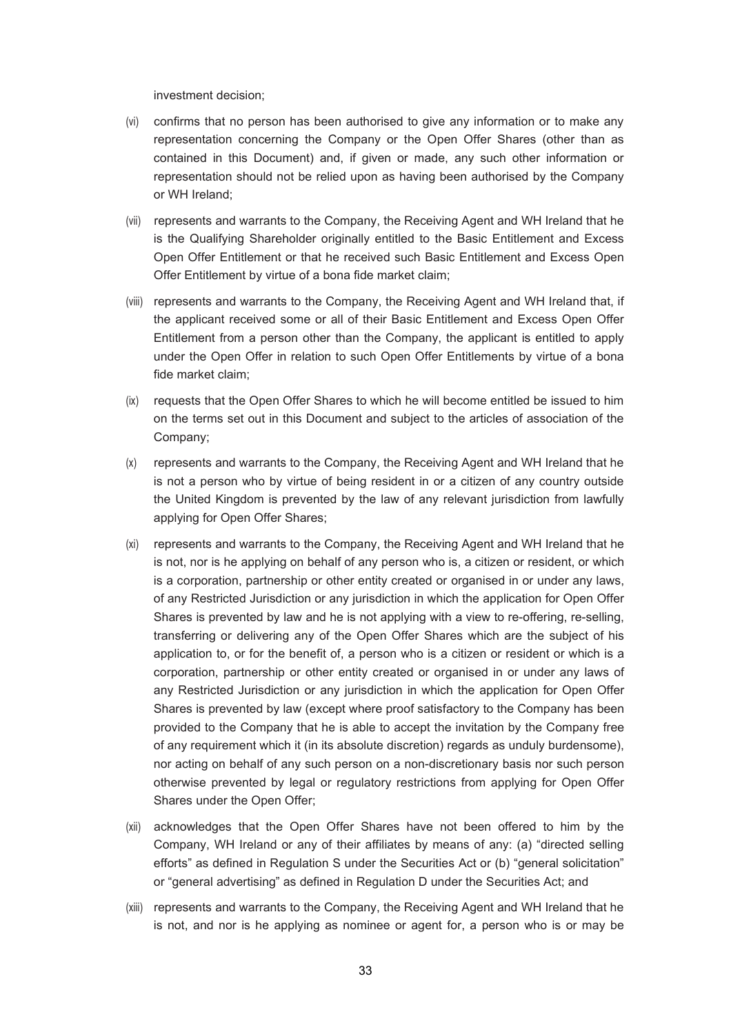investment decision;

- (vi) confirms that no person has been authorised to give any information or to make any representation concerning the Company or the Open Offer Shares (other than as contained in this Document) and, if given or made, any such other information or representation should not be relied upon as having been authorised by the Company or WH Ireland;
- (vii) represents and warrants to the Company, the Receiving Agent and WH Ireland that he is the Qualifying Shareholder originally entitled to the Basic Entitlement and Excess Open Offer Entitlement or that he received such Basic Entitlement and Excess Open Offer Entitlement by virtue of a bona fide market claim;
- (viii) represents and warrants to the Company, the Receiving Agent and WH Ireland that, if the applicant received some or all of their Basic Entitlement and Excess Open Offer Entitlement from a person other than the Company, the applicant is entitled to apply under the Open Offer in relation to such Open Offer Entitlements by virtue of a bona fide market claim;
- (ix) requests that the Open Offer Shares to which he will become entitled be issued to him on the terms set out in this Document and subject to the articles of association of the Company;
- (x) represents and warrants to the Company, the Receiving Agent and WH Ireland that he is not a person who by virtue of being resident in or a citizen of any country outside the United Kingdom is prevented by the law of any relevant jurisdiction from lawfully applying for Open Offer Shares;
- (xi) represents and warrants to the Company, the Receiving Agent and WH Ireland that he is not, nor is he applying on behalf of any person who is, a citizen or resident, or which is a corporation, partnership or other entity created or organised in or under any laws, of any Restricted Jurisdiction or any jurisdiction in which the application for Open Offer Shares is prevented by law and he is not applying with a view to re-offering, re-selling, transferring or delivering any of the Open Offer Shares which are the subject of his application to, or for the benefit of, a person who is a citizen or resident or which is a corporation, partnership or other entity created or organised in or under any laws of any Restricted Jurisdiction or any jurisdiction in which the application for Open Offer Shares is prevented by law (except where proof satisfactory to the Company has been provided to the Company that he is able to accept the invitation by the Company free of any requirement which it (in its absolute discretion) regards as unduly burdensome), nor acting on behalf of any such person on a non-discretionary basis nor such person otherwise prevented by legal or regulatory restrictions from applying for Open Offer Shares under the Open Offer;
- (xii) acknowledges that the Open Offer Shares have not been offered to him by the Company, WH Ireland or any of their affiliates by means of any: (a) "directed selling efforts" as defined in Regulation S under the Securities Act or (b) "general solicitation" or "general advertising" as defined in Regulation D under the Securities Act; and
- (xiii) represents and warrants to the Company, the Receiving Agent and WH Ireland that he is not, and nor is he applying as nominee or agent for, a person who is or may be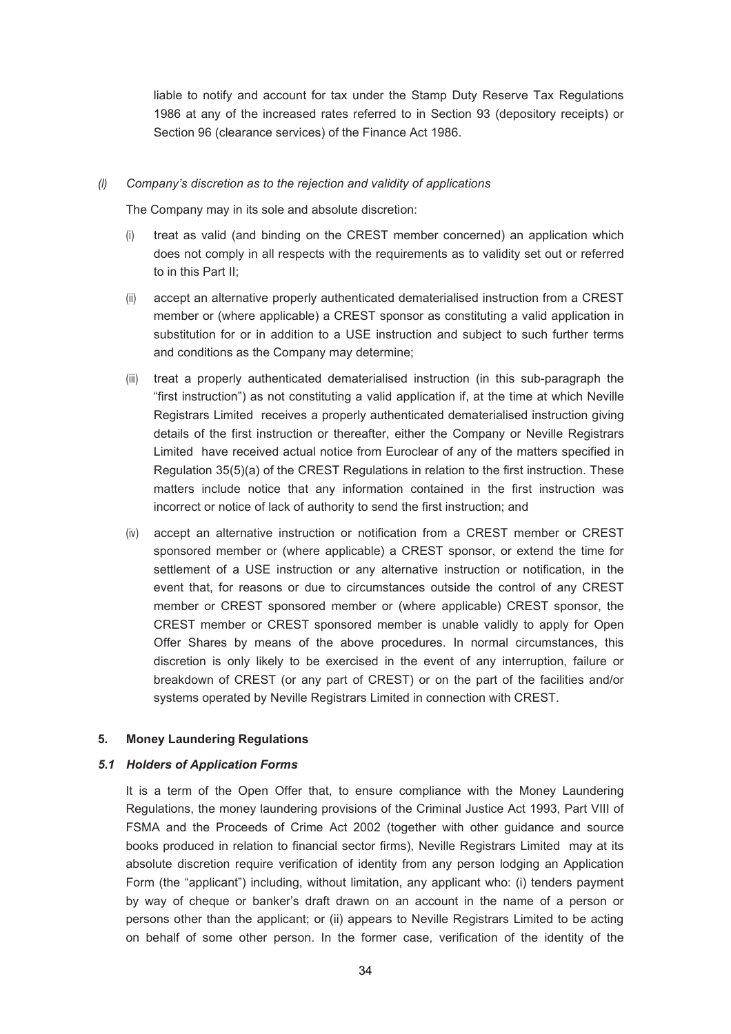liable to notify and account for tax under the Stamp Duty Reserve Tax Regulations 1986 at any of the increased rates referred to in Section 93 (depository receipts) or Section 96 (clearance services) of the Finance Act 1986.

#### *(l) Company's discretion as to the rejection and validity of applications*

The Company may in its sole and absolute discretion:

- (i) treat as valid (and binding on the CREST member concerned) an application which does not comply in all respects with the requirements as to validity set out or referred to in this Part II;
- (ii) accept an alternative properly authenticated dematerialised instruction from a CREST member or (where applicable) a CREST sponsor as constituting a valid application in substitution for or in addition to a USE instruction and subject to such further terms and conditions as the Company may determine;
- (iii) treat a properly authenticated dematerialised instruction (in this sub-paragraph the "first instruction") as not constituting a valid application if, at the time at which Neville Registrars Limited receives a properly authenticated dematerialised instruction giving details of the first instruction or thereafter, either the Company or Neville Registrars Limited have received actual notice from Euroclear of any of the matters specified in Regulation 35(5)(a) of the CREST Regulations in relation to the first instruction. These matters include notice that any information contained in the first instruction was incorrect or notice of lack of authority to send the first instruction; and
- (iv) accept an alternative instruction or notification from a CREST member or CREST sponsored member or (where applicable) a CREST sponsor, or extend the time for settlement of a USE instruction or any alternative instruction or notification, in the event that, for reasons or due to circumstances outside the control of any CREST member or CREST sponsored member or (where applicable) CREST sponsor, the CREST member or CREST sponsored member is unable validly to apply for Open Offer Shares by means of the above procedures. In normal circumstances, this discretion is only likely to be exercised in the event of any interruption, failure or breakdown of CREST (or any part of CREST) or on the part of the facilities and/or systems operated by Neville Registrars Limited in connection with CREST.

#### **5. Money Laundering Regulations**

#### *5.1 Holders of Application Forms*

It is a term of the Open Offer that, to ensure compliance with the Money Laundering Regulations, the money laundering provisions of the Criminal Justice Act 1993, Part VIII of FSMA and the Proceeds of Crime Act 2002 (together with other guidance and source books produced in relation to financial sector firms), Neville Registrars Limited may at its absolute discretion require verification of identity from any person lodging an Application Form (the "applicant") including, without limitation, any applicant who: (i) tenders payment by way of cheque or banker's draft drawn on an account in the name of a person or persons other than the applicant; or (ii) appears to Neville Registrars Limited to be acting on behalf of some other person. In the former case, verification of the identity of the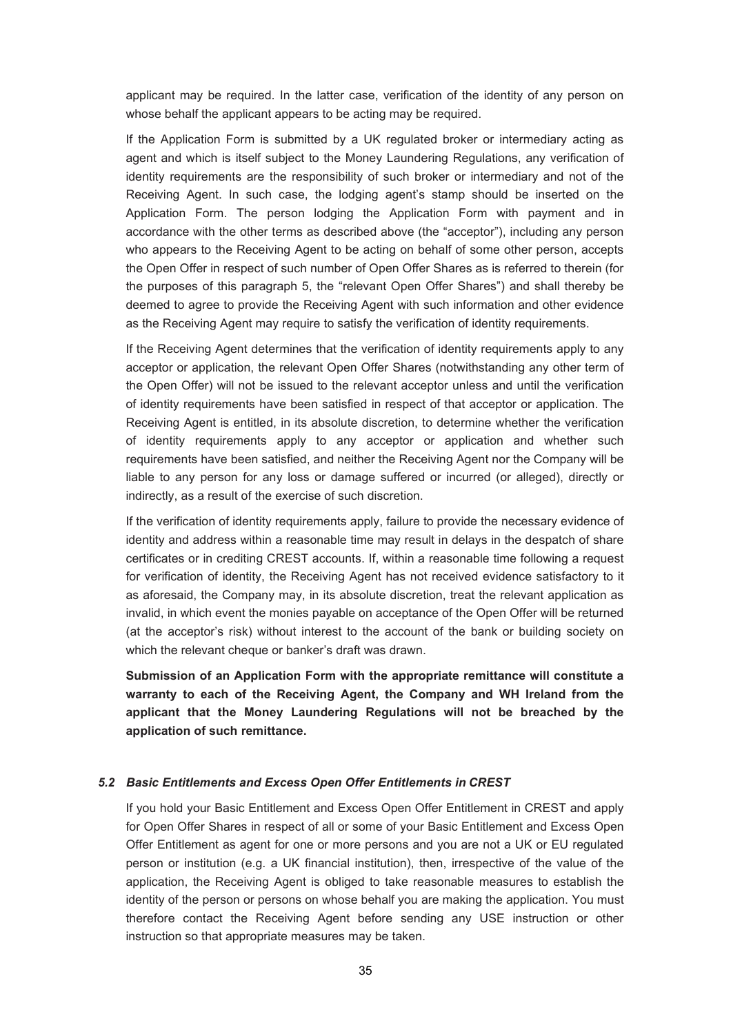applicant may be required. In the latter case, verification of the identity of any person on whose behalf the applicant appears to be acting may be required.

If the Application Form is submitted by a UK regulated broker or intermediary acting as agent and which is itself subject to the Money Laundering Regulations, any verification of identity requirements are the responsibility of such broker or intermediary and not of the Receiving Agent. In such case, the lodging agent's stamp should be inserted on the Application Form. The person lodging the Application Form with payment and in accordance with the other terms as described above (the "acceptor"), including any person who appears to the Receiving Agent to be acting on behalf of some other person, accepts the Open Offer in respect of such number of Open Offer Shares as is referred to therein (for the purposes of this paragraph 5, the "relevant Open Offer Shares") and shall thereby be deemed to agree to provide the Receiving Agent with such information and other evidence as the Receiving Agent may require to satisfy the verification of identity requirements.

If the Receiving Agent determines that the verification of identity requirements apply to any acceptor or application, the relevant Open Offer Shares (notwithstanding any other term of the Open Offer) will not be issued to the relevant acceptor unless and until the verification of identity requirements have been satisfied in respect of that acceptor or application. The Receiving Agent is entitled, in its absolute discretion, to determine whether the verification of identity requirements apply to any acceptor or application and whether such requirements have been satisfied, and neither the Receiving Agent nor the Company will be liable to any person for any loss or damage suffered or incurred (or alleged), directly or indirectly, as a result of the exercise of such discretion.

If the verification of identity requirements apply, failure to provide the necessary evidence of identity and address within a reasonable time may result in delays in the despatch of share certificates or in crediting CREST accounts. If, within a reasonable time following a request for verification of identity, the Receiving Agent has not received evidence satisfactory to it as aforesaid, the Company may, in its absolute discretion, treat the relevant application as invalid, in which event the monies payable on acceptance of the Open Offer will be returned (at the acceptor's risk) without interest to the account of the bank or building society on which the relevant cheque or banker's draft was drawn.

**Submission of an Application Form with the appropriate remittance will constitute a warranty to each of the Receiving Agent, the Company and WH Ireland from the applicant that the Money Laundering Regulations will not be breached by the application of such remittance.** 

#### *5.2 Basic Entitlements and Excess Open Offer Entitlements in CREST*

If you hold your Basic Entitlement and Excess Open Offer Entitlement in CREST and apply for Open Offer Shares in respect of all or some of your Basic Entitlement and Excess Open Offer Entitlement as agent for one or more persons and you are not a UK or EU regulated person or institution (e.g. a UK financial institution), then, irrespective of the value of the application, the Receiving Agent is obliged to take reasonable measures to establish the identity of the person or persons on whose behalf you are making the application. You must therefore contact the Receiving Agent before sending any USE instruction or other instruction so that appropriate measures may be taken.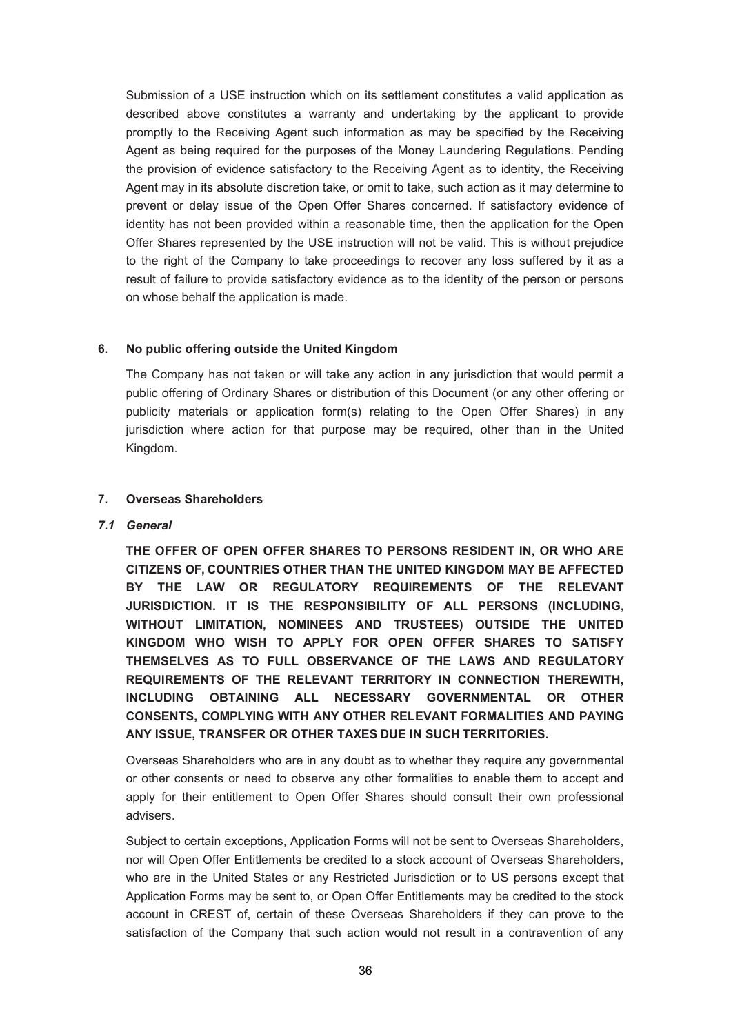Submission of a USE instruction which on its settlement constitutes a valid application as described above constitutes a warranty and undertaking by the applicant to provide promptly to the Receiving Agent such information as may be specified by the Receiving Agent as being required for the purposes of the Money Laundering Regulations. Pending the provision of evidence satisfactory to the Receiving Agent as to identity, the Receiving Agent may in its absolute discretion take, or omit to take, such action as it may determine to prevent or delay issue of the Open Offer Shares concerned. If satisfactory evidence of identity has not been provided within a reasonable time, then the application for the Open Offer Shares represented by the USE instruction will not be valid. This is without prejudice to the right of the Company to take proceedings to recover any loss suffered by it as a result of failure to provide satisfactory evidence as to the identity of the person or persons on whose behalf the application is made.

### **6. No public offering outside the United Kingdom**

The Company has not taken or will take any action in any jurisdiction that would permit a public offering of Ordinary Shares or distribution of this Document (or any other offering or publicity materials or application form(s) relating to the Open Offer Shares) in any jurisdiction where action for that purpose may be required, other than in the United Kingdom.

#### **7. Overseas Shareholders**

#### *7.1 General*

**THE OFFER OF OPEN OFFER SHARES TO PERSONS RESIDENT IN, OR WHO ARE CITIZENS OF, COUNTRIES OTHER THAN THE UNITED KINGDOM MAY BE AFFECTED BY THE LAW OR REGULATORY REQUIREMENTS OF THE RELEVANT JURISDICTION. IT IS THE RESPONSIBILITY OF ALL PERSONS (INCLUDING, WITHOUT LIMITATION, NOMINEES AND TRUSTEES) OUTSIDE THE UNITED KINGDOM WHO WISH TO APPLY FOR OPEN OFFER SHARES TO SATISFY THEMSELVES AS TO FULL OBSERVANCE OF THE LAWS AND REGULATORY REQUIREMENTS OF THE RELEVANT TERRITORY IN CONNECTION THEREWITH, INCLUDING OBTAINING ALL NECESSARY GOVERNMENTAL OR OTHER CONSENTS, COMPLYING WITH ANY OTHER RELEVANT FORMALITIES AND PAYING ANY ISSUE, TRANSFER OR OTHER TAXES DUE IN SUCH TERRITORIES.** 

Overseas Shareholders who are in any doubt as to whether they require any governmental or other consents or need to observe any other formalities to enable them to accept and apply for their entitlement to Open Offer Shares should consult their own professional advisers.

Subject to certain exceptions, Application Forms will not be sent to Overseas Shareholders, nor will Open Offer Entitlements be credited to a stock account of Overseas Shareholders, who are in the United States or any Restricted Jurisdiction or to US persons except that Application Forms may be sent to, or Open Offer Entitlements may be credited to the stock account in CREST of, certain of these Overseas Shareholders if they can prove to the satisfaction of the Company that such action would not result in a contravention of any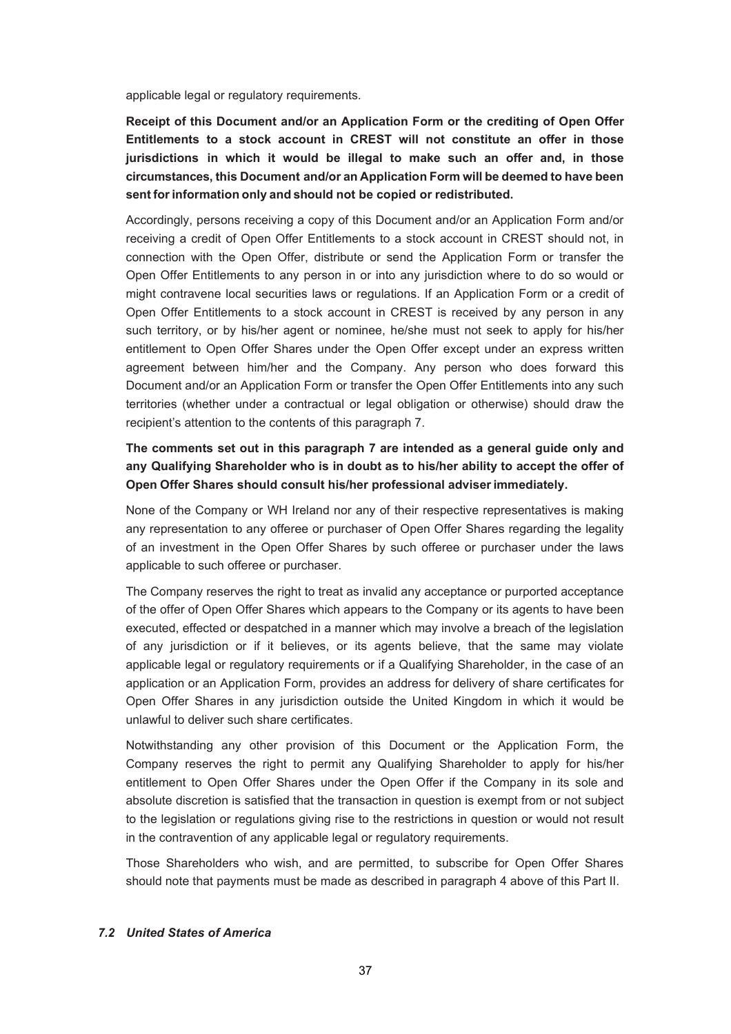applicable legal or regulatory requirements.

**Receipt of this Document and/or an Application Form or the crediting of Open Offer Entitlements to a stock account in CREST will not constitute an offer in those jurisdictions in which it would be illegal to make such an offer and, in those circumstances, this Document and/or an Application Form will be deemed to have been sent for information only and should not be copied or redistributed.** 

Accordingly, persons receiving a copy of this Document and/or an Application Form and/or receiving a credit of Open Offer Entitlements to a stock account in CREST should not, in connection with the Open Offer, distribute or send the Application Form or transfer the Open Offer Entitlements to any person in or into any jurisdiction where to do so would or might contravene local securities laws or regulations. If an Application Form or a credit of Open Offer Entitlements to a stock account in CREST is received by any person in any such territory, or by his/her agent or nominee, he/she must not seek to apply for his/her entitlement to Open Offer Shares under the Open Offer except under an express written agreement between him/her and the Company. Any person who does forward this Document and/or an Application Form or transfer the Open Offer Entitlements into any such territories (whether under a contractual or legal obligation or otherwise) should draw the recipient's attention to the contents of this paragraph 7.

# **The comments set out in this paragraph 7 are intended as a general guide only and any Qualifying Shareholder who is in doubt as to his/her ability to accept the offer of Open Offer Shares should consult his/her professional adviser immediately.**

None of the Company or WH Ireland nor any of their respective representatives is making any representation to any offeree or purchaser of Open Offer Shares regarding the legality of an investment in the Open Offer Shares by such offeree or purchaser under the laws applicable to such offeree or purchaser.

The Company reserves the right to treat as invalid any acceptance or purported acceptance of the offer of Open Offer Shares which appears to the Company or its agents to have been executed, effected or despatched in a manner which may involve a breach of the legislation of any jurisdiction or if it believes, or its agents believe, that the same may violate applicable legal or regulatory requirements or if a Qualifying Shareholder, in the case of an application or an Application Form, provides an address for delivery of share certificates for Open Offer Shares in any jurisdiction outside the United Kingdom in which it would be unlawful to deliver such share certificates.

Notwithstanding any other provision of this Document or the Application Form, the Company reserves the right to permit any Qualifying Shareholder to apply for his/her entitlement to Open Offer Shares under the Open Offer if the Company in its sole and absolute discretion is satisfied that the transaction in question is exempt from or not subject to the legislation or regulations giving rise to the restrictions in question or would not result in the contravention of any applicable legal or regulatory requirements.

Those Shareholders who wish, and are permitted, to subscribe for Open Offer Shares should note that payments must be made as described in paragraph 4 above of this Part II.

#### *7.2 United States of America*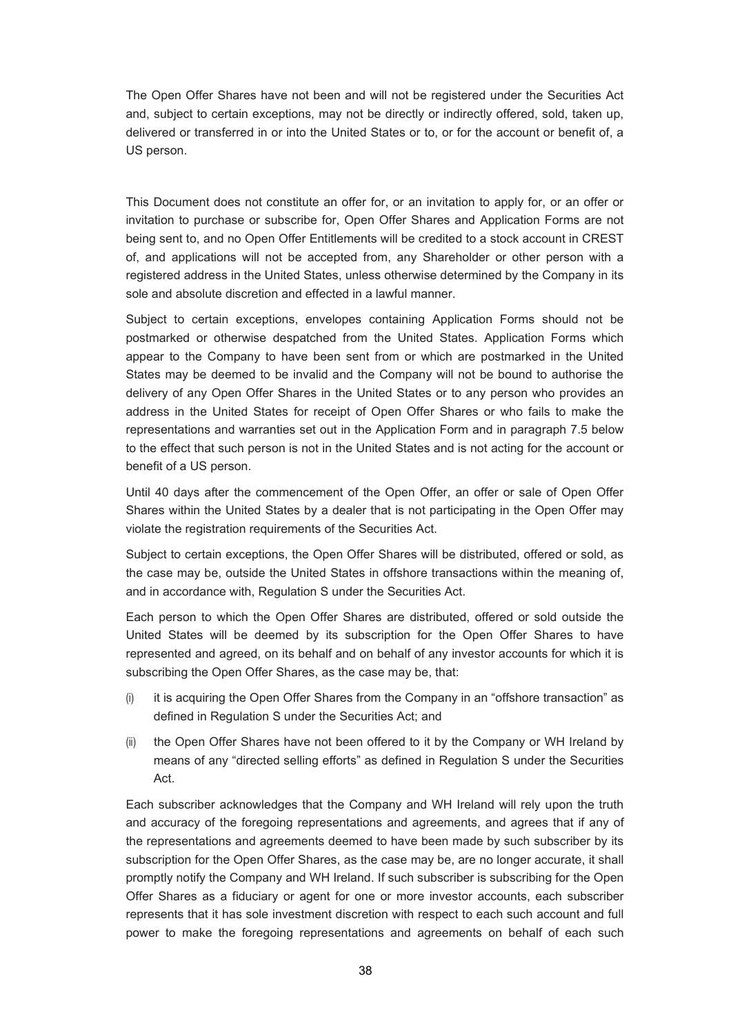The Open Offer Shares have not been and will not be registered under the Securities Act and, subject to certain exceptions, may not be directly or indirectly offered, sold, taken up, delivered or transferred in or into the United States or to, or for the account or benefit of, a US person.

This Document does not constitute an offer for, or an invitation to apply for, or an offer or invitation to purchase or subscribe for, Open Offer Shares and Application Forms are not being sent to, and no Open Offer Entitlements will be credited to a stock account in CREST of, and applications will not be accepted from, any Shareholder or other person with a registered address in the United States, unless otherwise determined by the Company in its sole and absolute discretion and effected in a lawful manner.

Subject to certain exceptions, envelopes containing Application Forms should not be postmarked or otherwise despatched from the United States. Application Forms which appear to the Company to have been sent from or which are postmarked in the United States may be deemed to be invalid and the Company will not be bound to authorise the delivery of any Open Offer Shares in the United States or to any person who provides an address in the United States for receipt of Open Offer Shares or who fails to make the representations and warranties set out in the Application Form and in paragraph 7.5 below to the effect that such person is not in the United States and is not acting for the account or benefit of a US person.

Until 40 days after the commencement of the Open Offer, an offer or sale of Open Offer Shares within the United States by a dealer that is not participating in the Open Offer may violate the registration requirements of the Securities Act.

Subject to certain exceptions, the Open Offer Shares will be distributed, offered or sold, as the case may be, outside the United States in offshore transactions within the meaning of, and in accordance with, Regulation S under the Securities Act.

Each person to which the Open Offer Shares are distributed, offered or sold outside the United States will be deemed by its subscription for the Open Offer Shares to have represented and agreed, on its behalf and on behalf of any investor accounts for which it is subscribing the Open Offer Shares, as the case may be, that:

- (i) it is acquiring the Open Offer Shares from the Company in an "offshore transaction" as defined in Regulation S under the Securities Act; and
- (ii) the Open Offer Shares have not been offered to it by the Company or WH Ireland by means of any "directed selling efforts" as defined in Regulation S under the Securities Act.

Each subscriber acknowledges that the Company and WH Ireland will rely upon the truth and accuracy of the foregoing representations and agreements, and agrees that if any of the representations and agreements deemed to have been made by such subscriber by its subscription for the Open Offer Shares, as the case may be, are no longer accurate, it shall promptly notify the Company and WH Ireland. If such subscriber is subscribing for the Open Offer Shares as a fiduciary or agent for one or more investor accounts, each subscriber represents that it has sole investment discretion with respect to each such account and full power to make the foregoing representations and agreements on behalf of each such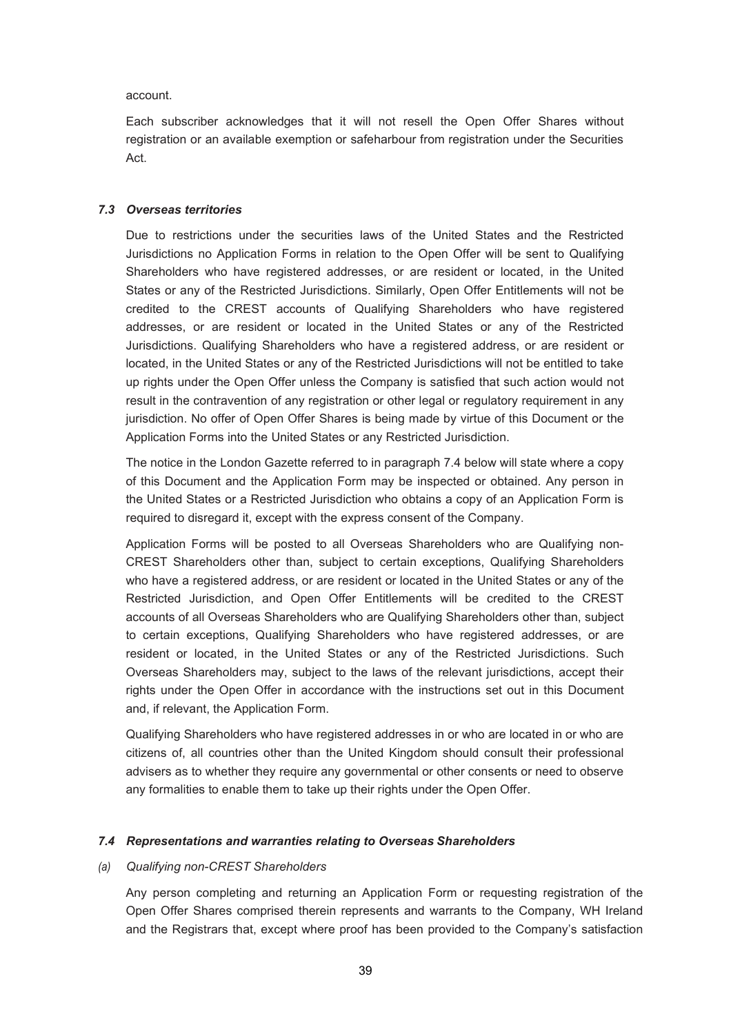account.

Each subscriber acknowledges that it will not resell the Open Offer Shares without registration or an available exemption or safeharbour from registration under the Securities Act.

#### *7.3 Overseas territories*

Due to restrictions under the securities laws of the United States and the Restricted Jurisdictions no Application Forms in relation to the Open Offer will be sent to Qualifying Shareholders who have registered addresses, or are resident or located, in the United States or any of the Restricted Jurisdictions. Similarly, Open Offer Entitlements will not be credited to the CREST accounts of Qualifying Shareholders who have registered addresses, or are resident or located in the United States or any of the Restricted Jurisdictions. Qualifying Shareholders who have a registered address, or are resident or located, in the United States or any of the Restricted Jurisdictions will not be entitled to take up rights under the Open Offer unless the Company is satisfied that such action would not result in the contravention of any registration or other legal or regulatory requirement in any jurisdiction. No offer of Open Offer Shares is being made by virtue of this Document or the Application Forms into the United States or any Restricted Jurisdiction.

The notice in the London Gazette referred to in paragraph 7.4 below will state where a copy of this Document and the Application Form may be inspected or obtained. Any person in the United States or a Restricted Jurisdiction who obtains a copy of an Application Form is required to disregard it, except with the express consent of the Company.

Application Forms will be posted to all Overseas Shareholders who are Qualifying non-CREST Shareholders other than, subject to certain exceptions, Qualifying Shareholders who have a registered address, or are resident or located in the United States or any of the Restricted Jurisdiction, and Open Offer Entitlements will be credited to the CREST accounts of all Overseas Shareholders who are Qualifying Shareholders other than, subject to certain exceptions, Qualifying Shareholders who have registered addresses, or are resident or located, in the United States or any of the Restricted Jurisdictions. Such Overseas Shareholders may, subject to the laws of the relevant jurisdictions, accept their rights under the Open Offer in accordance with the instructions set out in this Document and, if relevant, the Application Form.

Qualifying Shareholders who have registered addresses in or who are located in or who are citizens of, all countries other than the United Kingdom should consult their professional advisers as to whether they require any governmental or other consents or need to observe any formalities to enable them to take up their rights under the Open Offer.

#### *7.4 Representations and warranties relating to Overseas Shareholders*

#### *(a) Qualifying non-CREST Shareholders*

Any person completing and returning an Application Form or requesting registration of the Open Offer Shares comprised therein represents and warrants to the Company, WH Ireland and the Registrars that, except where proof has been provided to the Company's satisfaction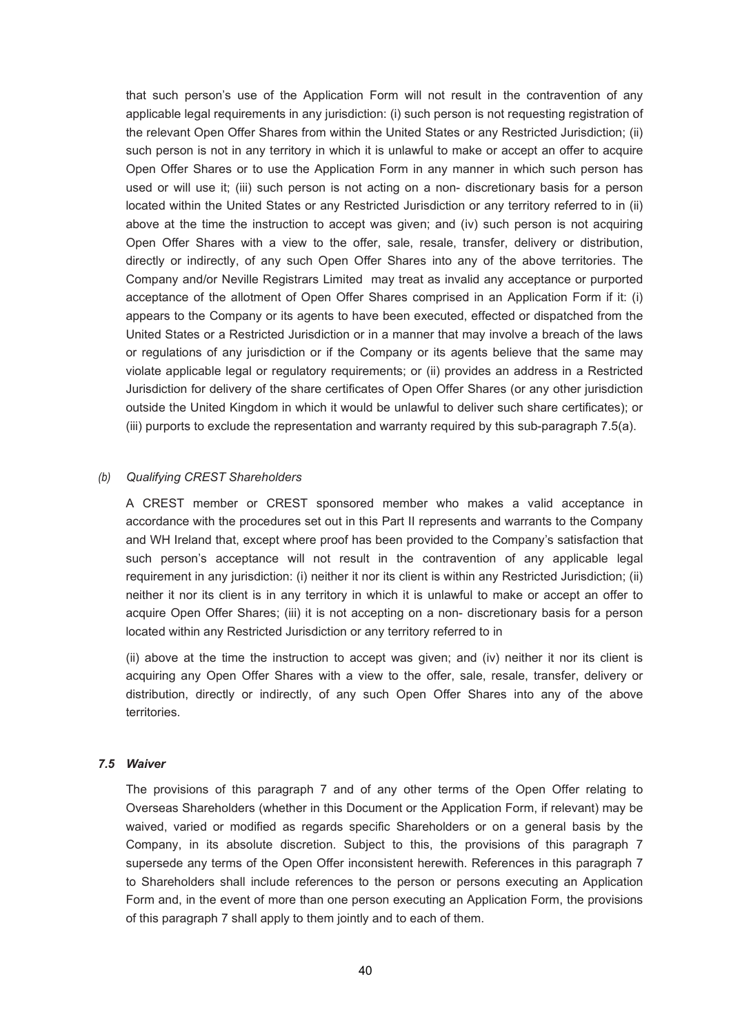that such person's use of the Application Form will not result in the contravention of any applicable legal requirements in any jurisdiction: (i) such person is not requesting registration of the relevant Open Offer Shares from within the United States or any Restricted Jurisdiction; (ii) such person is not in any territory in which it is unlawful to make or accept an offer to acquire Open Offer Shares or to use the Application Form in any manner in which such person has used or will use it; (iii) such person is not acting on a non- discretionary basis for a person located within the United States or any Restricted Jurisdiction or any territory referred to in (ii) above at the time the instruction to accept was given; and (iv) such person is not acquiring Open Offer Shares with a view to the offer, sale, resale, transfer, delivery or distribution, directly or indirectly, of any such Open Offer Shares into any of the above territories. The Company and/or Neville Registrars Limited may treat as invalid any acceptance or purported acceptance of the allotment of Open Offer Shares comprised in an Application Form if it: (i) appears to the Company or its agents to have been executed, effected or dispatched from the United States or a Restricted Jurisdiction or in a manner that may involve a breach of the laws or regulations of any jurisdiction or if the Company or its agents believe that the same may violate applicable legal or regulatory requirements; or (ii) provides an address in a Restricted Jurisdiction for delivery of the share certificates of Open Offer Shares (or any other jurisdiction outside the United Kingdom in which it would be unlawful to deliver such share certificates); or (iii) purports to exclude the representation and warranty required by this sub-paragraph 7.5(a).

#### *(b) Qualifying CREST Shareholders*

A CREST member or CREST sponsored member who makes a valid acceptance in accordance with the procedures set out in this Part II represents and warrants to the Company and WH Ireland that, except where proof has been provided to the Company's satisfaction that such person's acceptance will not result in the contravention of any applicable legal requirement in any jurisdiction: (i) neither it nor its client is within any Restricted Jurisdiction; (ii) neither it nor its client is in any territory in which it is unlawful to make or accept an offer to acquire Open Offer Shares; (iii) it is not accepting on a non- discretionary basis for a person located within any Restricted Jurisdiction or any territory referred to in

(ii) above at the time the instruction to accept was given; and (iv) neither it nor its client is acquiring any Open Offer Shares with a view to the offer, sale, resale, transfer, delivery or distribution, directly or indirectly, of any such Open Offer Shares into any of the above territories.

#### *7.5 Waiver*

The provisions of this paragraph 7 and of any other terms of the Open Offer relating to Overseas Shareholders (whether in this Document or the Application Form, if relevant) may be waived, varied or modified as regards specific Shareholders or on a general basis by the Company, in its absolute discretion. Subject to this, the provisions of this paragraph 7 supersede any terms of the Open Offer inconsistent herewith. References in this paragraph 7 to Shareholders shall include references to the person or persons executing an Application Form and, in the event of more than one person executing an Application Form, the provisions of this paragraph 7 shall apply to them jointly and to each of them.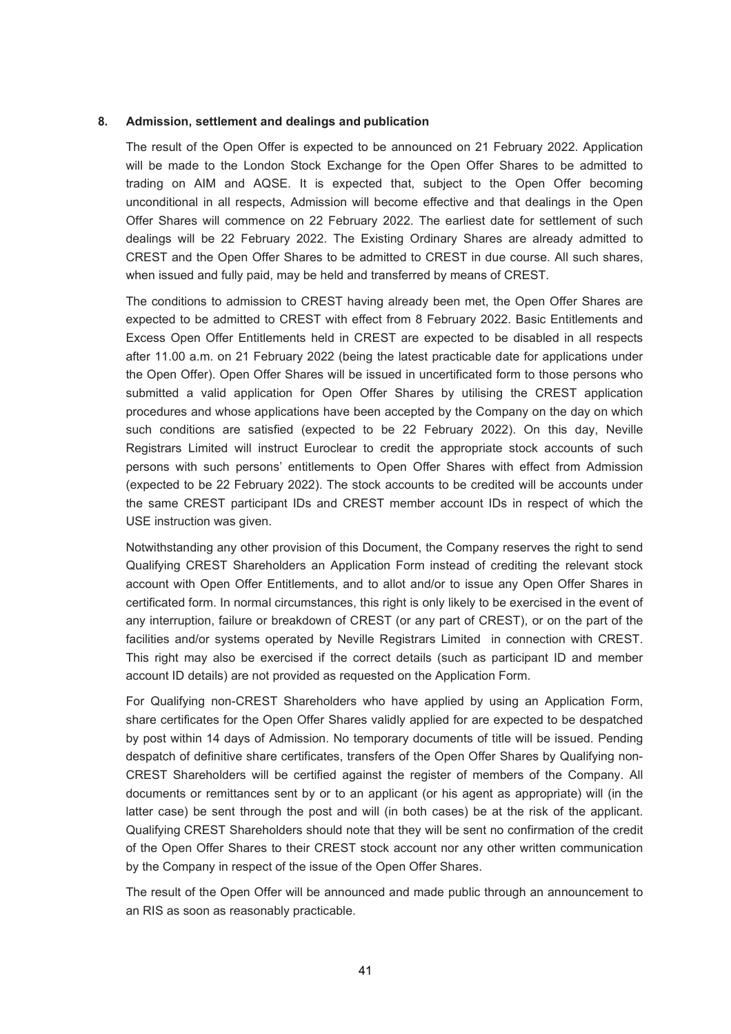#### **8. Admission, settlement and dealings and publication**

The result of the Open Offer is expected to be announced on 21 February 2022. Application will be made to the London Stock Exchange for the Open Offer Shares to be admitted to trading on AIM and AQSE. It is expected that, subject to the Open Offer becoming unconditional in all respects, Admission will become effective and that dealings in the Open Offer Shares will commence on 22 February 2022. The earliest date for settlement of such dealings will be 22 February 2022. The Existing Ordinary Shares are already admitted to CREST and the Open Offer Shares to be admitted to CREST in due course. All such shares, when issued and fully paid, may be held and transferred by means of CREST.

The conditions to admission to CREST having already been met, the Open Offer Shares are expected to be admitted to CREST with effect from 8 February 2022. Basic Entitlements and Excess Open Offer Entitlements held in CREST are expected to be disabled in all respects after 11.00 a.m. on 21 February 2022 (being the latest practicable date for applications under the Open Offer). Open Offer Shares will be issued in uncertificated form to those persons who submitted a valid application for Open Offer Shares by utilising the CREST application procedures and whose applications have been accepted by the Company on the day on which such conditions are satisfied (expected to be 22 February 2022). On this day, Neville Registrars Limited will instruct Euroclear to credit the appropriate stock accounts of such persons with such persons' entitlements to Open Offer Shares with effect from Admission (expected to be 22 February 2022). The stock accounts to be credited will be accounts under the same CREST participant IDs and CREST member account IDs in respect of which the USE instruction was given.

Notwithstanding any other provision of this Document, the Company reserves the right to send Qualifying CREST Shareholders an Application Form instead of crediting the relevant stock account with Open Offer Entitlements, and to allot and/or to issue any Open Offer Shares in certificated form. In normal circumstances, this right is only likely to be exercised in the event of any interruption, failure or breakdown of CREST (or any part of CREST), or on the part of the facilities and/or systems operated by Neville Registrars Limited in connection with CREST. This right may also be exercised if the correct details (such as participant ID and member account ID details) are not provided as requested on the Application Form.

For Qualifying non-CREST Shareholders who have applied by using an Application Form, share certificates for the Open Offer Shares validly applied for are expected to be despatched by post within 14 days of Admission. No temporary documents of title will be issued. Pending despatch of definitive share certificates, transfers of the Open Offer Shares by Qualifying non-CREST Shareholders will be certified against the register of members of the Company. All documents or remittances sent by or to an applicant (or his agent as appropriate) will (in the latter case) be sent through the post and will (in both cases) be at the risk of the applicant. Qualifying CREST Shareholders should note that they will be sent no confirmation of the credit of the Open Offer Shares to their CREST stock account nor any other written communication by the Company in respect of the issue of the Open Offer Shares.

The result of the Open Offer will be announced and made public through an announcement to an RIS as soon as reasonably practicable.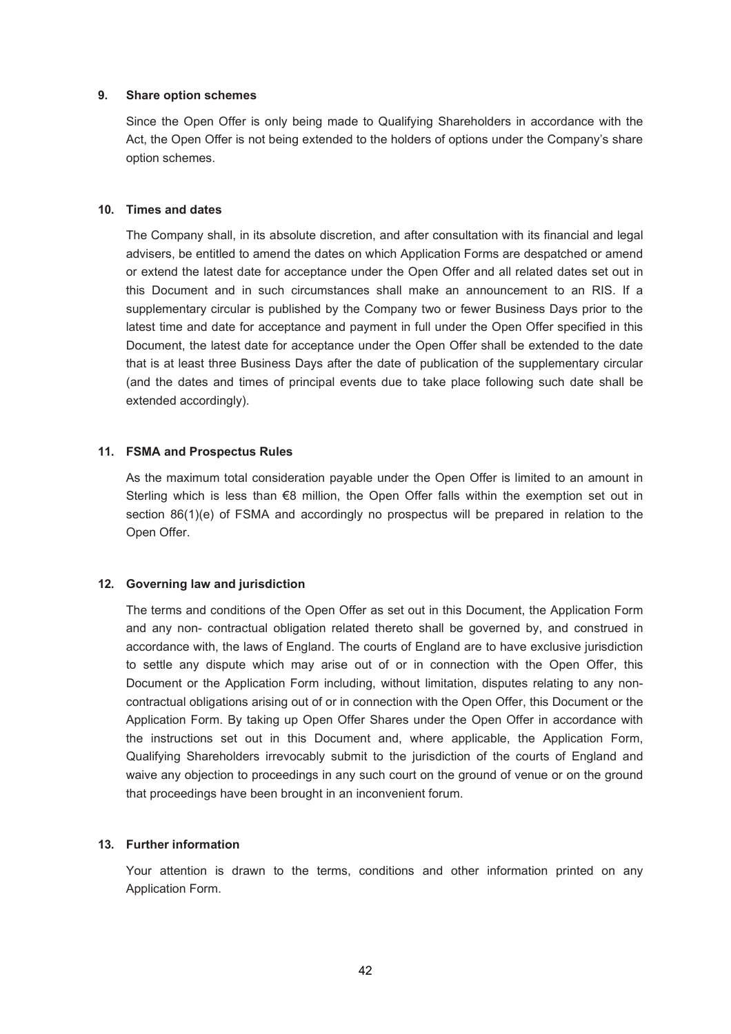#### **9. Share option schemes**

Since the Open Offer is only being made to Qualifying Shareholders in accordance with the Act, the Open Offer is not being extended to the holders of options under the Company's share option schemes.

#### **10. Times and dates**

The Company shall, in its absolute discretion, and after consultation with its financial and legal advisers, be entitled to amend the dates on which Application Forms are despatched or amend or extend the latest date for acceptance under the Open Offer and all related dates set out in this Document and in such circumstances shall make an announcement to an RIS. If a supplementary circular is published by the Company two or fewer Business Days prior to the latest time and date for acceptance and payment in full under the Open Offer specified in this Document, the latest date for acceptance under the Open Offer shall be extended to the date that is at least three Business Days after the date of publication of the supplementary circular (and the dates and times of principal events due to take place following such date shall be extended accordingly).

#### **11. FSMA and Prospectus Rules**

As the maximum total consideration payable under the Open Offer is limited to an amount in Sterling which is less than €8 million, the Open Offer falls within the exemption set out in section 86(1)(e) of FSMA and accordingly no prospectus will be prepared in relation to the Open Offer.

### **12. Governing law and jurisdiction**

The terms and conditions of the Open Offer as set out in this Document, the Application Form and any non- contractual obligation related thereto shall be governed by, and construed in accordance with, the laws of England. The courts of England are to have exclusive jurisdiction to settle any dispute which may arise out of or in connection with the Open Offer, this Document or the Application Form including, without limitation, disputes relating to any noncontractual obligations arising out of or in connection with the Open Offer, this Document or the Application Form. By taking up Open Offer Shares under the Open Offer in accordance with the instructions set out in this Document and, where applicable, the Application Form, Qualifying Shareholders irrevocably submit to the jurisdiction of the courts of England and waive any objection to proceedings in any such court on the ground of venue or on the ground that proceedings have been brought in an inconvenient forum.

### **13. Further information**

Your attention is drawn to the terms, conditions and other information printed on any Application Form.